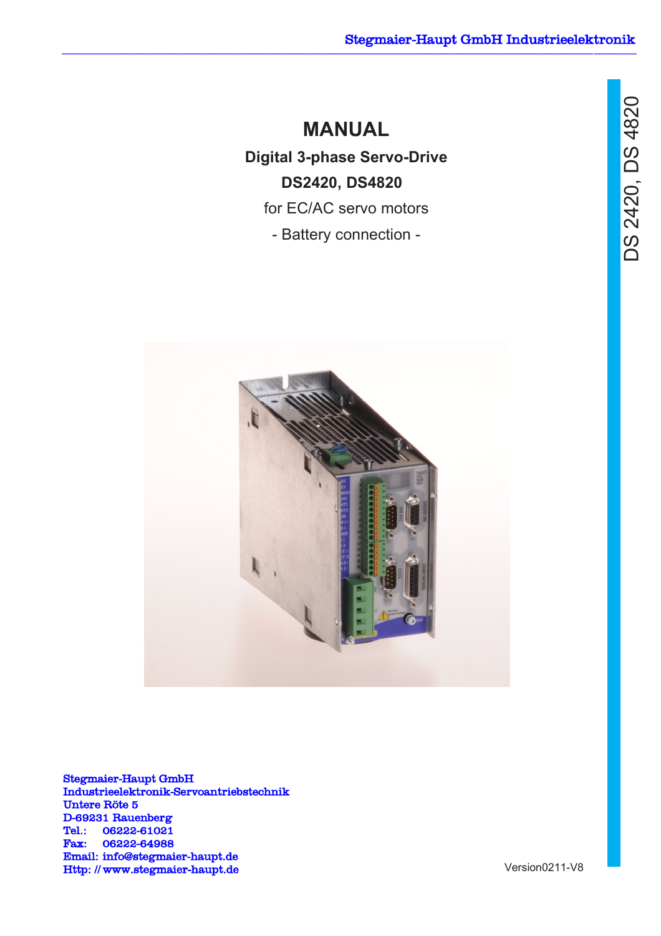# **MANUAL**

**Digital 3-phase Servo-Drive DS2420, DS4820** for EC/AC servo motors

- Battery connection -



Stegmaier-Haupt GmbH Industrieelektronik-Servoantriebstechnik Untere Röte 5 D-69231 Rauenberg Tel.: 06222-61021 Fax: 06222-64988 Email: [info@stegmaier-haupt.de](mailto:info@stegmaier-haupt.de) Http: // [www.stegmaier-haupt.de](http://www.stegmaier-haupt.de/)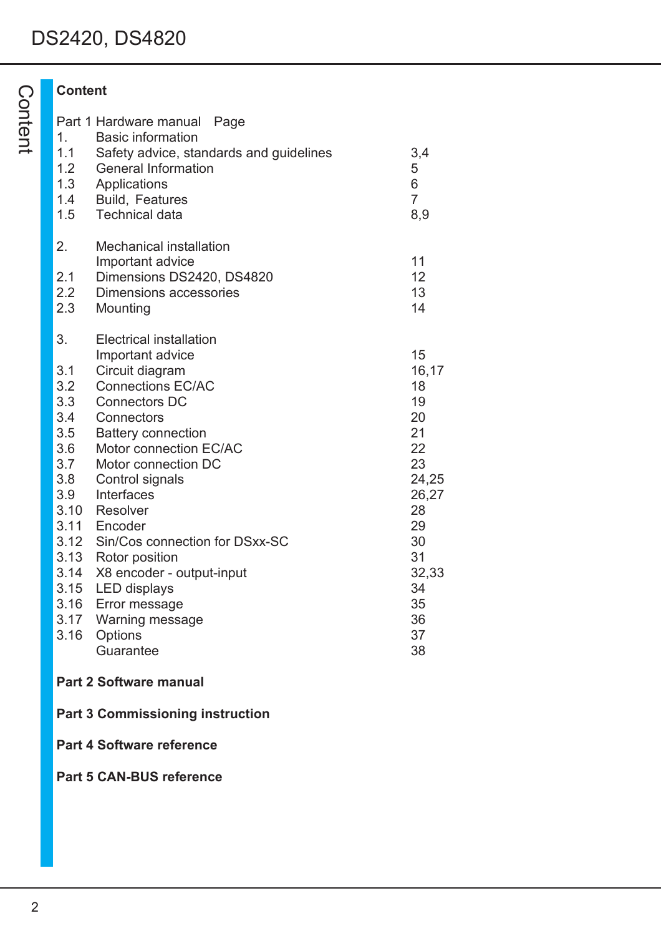# **Content**

| 1.<br>1.1<br>1.2<br>1.3<br>1.4<br>1.5                                                             | Part 1 Hardware manual<br>Page<br><b>Basic information</b><br>Safety advice, standards and guidelines<br><b>General Information</b><br>Applications<br>Build, Features<br><b>Technical data</b>                                                                                                                                                                                                                                                                                   | 3,4<br>5<br>6<br>$\overline{7}$<br>8,9                                                                                           |
|---------------------------------------------------------------------------------------------------|-----------------------------------------------------------------------------------------------------------------------------------------------------------------------------------------------------------------------------------------------------------------------------------------------------------------------------------------------------------------------------------------------------------------------------------------------------------------------------------|----------------------------------------------------------------------------------------------------------------------------------|
| 2.<br>2.1<br>2.2<br>2.3                                                                           | <b>Mechanical installation</b><br>Important advice<br>Dimensions DS2420, DS4820<br>Dimensions accessories<br>Mounting                                                                                                                                                                                                                                                                                                                                                             | 11<br>12<br>13<br>14                                                                                                             |
| 3.<br>3.1<br>3.2<br>3.3<br>3.4<br>3.5<br>3.6<br>3.7<br>3.8<br>3.9<br>3.14<br>3.15<br>3.17<br>3.16 | <b>Electrical installation</b><br>Important advice<br>Circuit diagram<br><b>Connections EC/AC</b><br><b>Connectors DC</b><br>Connectors<br><b>Battery connection</b><br>Motor connection EC/AC<br>Motor connection DC<br>Control signals<br><b>Interfaces</b><br>3.10 Resolver<br>3.11 Encoder<br>3.12 Sin/Cos connection for DSxx-SC<br>3.13 Rotor position<br>X8 encoder - output-input<br><b>LED</b> displays<br>3.16 Error message<br>Warning message<br>Options<br>Guarantee | 15<br>16,17<br>18<br>19<br>20<br>21<br>22<br>23<br>24,25<br>26,27<br>28<br>29<br>30<br>31<br>32,33<br>34<br>35<br>36<br>37<br>38 |
|                                                                                                   |                                                                                                                                                                                                                                                                                                                                                                                                                                                                                   |                                                                                                                                  |

### **Part 2 Software manual**

# **Part 3 Commissioning instruction**

#### **Part 4 Software reference**

# **Part 5 CAN-BUS reference**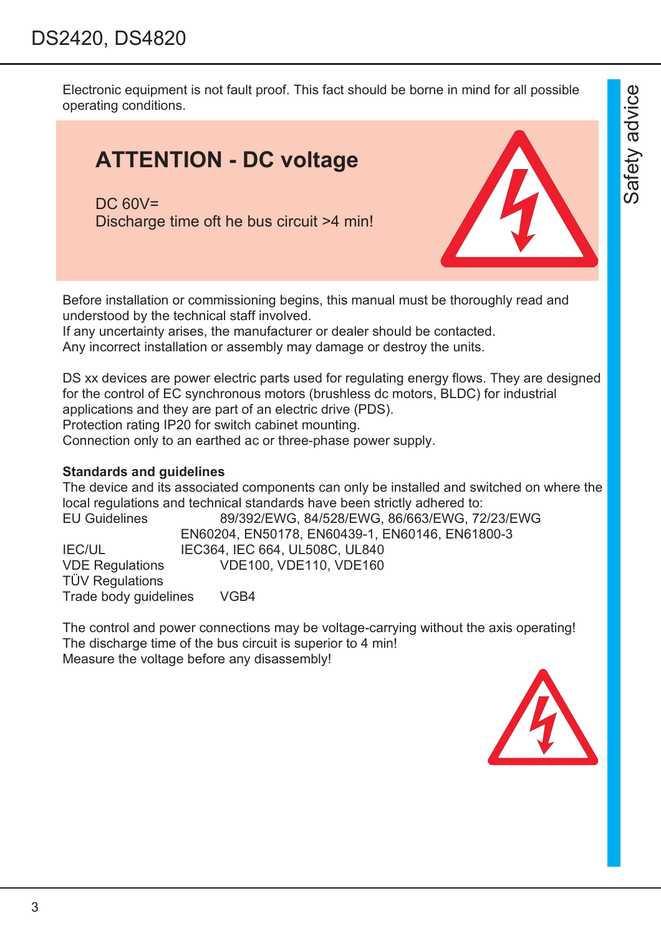Electronic equipment is not fault proof. This fact should be borne in mind for all possible operating conditions.



Before installation or commissioning begins, this manual must be thoroughly read and understood by the technical staff involved.

If any uncertainty arises, the manufacturer or dealer should be contacted. Any incorrect installation or assembly may damage or destroy the units.

DS xx devices are power electric parts used for regulating energy flows. They are designed for the control of EC synchronous motors (brushless dc motors, BLDC) for industrial applications and they are part of an electric drive (PDS). Protection rating IP20 for switch cabinet mounting. Connection only to an earthed ac or three-phase power supply.

#### **Standards and guidelines**

The device and its associated components can only be installed and switched on where the local regulations and technical standards have been strictly adhered to:

EU Guidelines 89/392/EWG, 84/528/EWG, 86/663/EWG, 72/23/EWG EN60204, EN50178, EN60439-1, EN60146, EN61800-3 IEC/UL IEC364, IEC 664, UL508C, UL840 VDE Regulations VDE100, VDE110, VDE160 TÜV Regulations Trade body guidelines VGB4

The control and power connections may be voltage-carrying without the axis operating! The discharge time of the bus circuit is superior to 4 min! Measure the voltage before any disassembly!

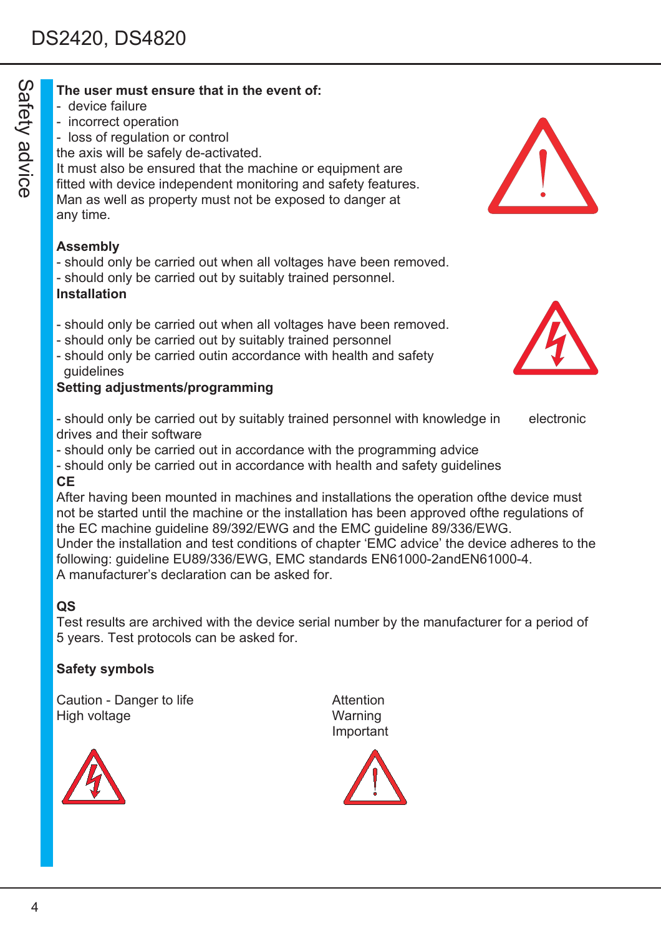- device failure

 $\mathcal O$ 

a f e t y

 $\boldsymbol{\omega}$  $\bf \Omega$  $\lesssim$ ወ

- incorrect operation
- loss of regulation or control
- the axis will be safely de-activated.

It must also be ensured that the machine or equipment are fitted with device independent monitoring and safety features. Man as well as property must not be exposed to danger at any time.

# **Assembly**

- should only be carried out when all voltages have been removed.
- should only be carried out by suitably trained personnel.

# **Installation**

- should only be carried out when all voltages have been removed.
- should only be carried out by suitably trained personnel
- should only be carried outin accordance with health and safety guidelines

# **Setting adjustments/programming**

- should only be carried out by suitably trained personnel with knowledge in electronic drives and their software
- should only be carried out in accordance with the programming advice
- should only be carried out in accordance with health and safety guidelines **CE**

After having been mounted in machines and installations the operation ofthe device must not be started until the machine or the installation has been approved ofthe regulations of the EC machine guideline 89/392/EWG and the EMC guideline 89/336/EWG.

Under the installation and test conditions of chapter 'EMC advice' the device adheres to the following: guideline EU89/336/EWG, EMC standards EN61000-2andEN61000-4. A manufacturer's declaration can be asked for.

# **QS**

Test results are archived with the device serial number by the manufacturer for a period of 5 years. Test protocols can be asked for.

# **Safety symbols**

Caution - Danger to life Attention High voltage Warning









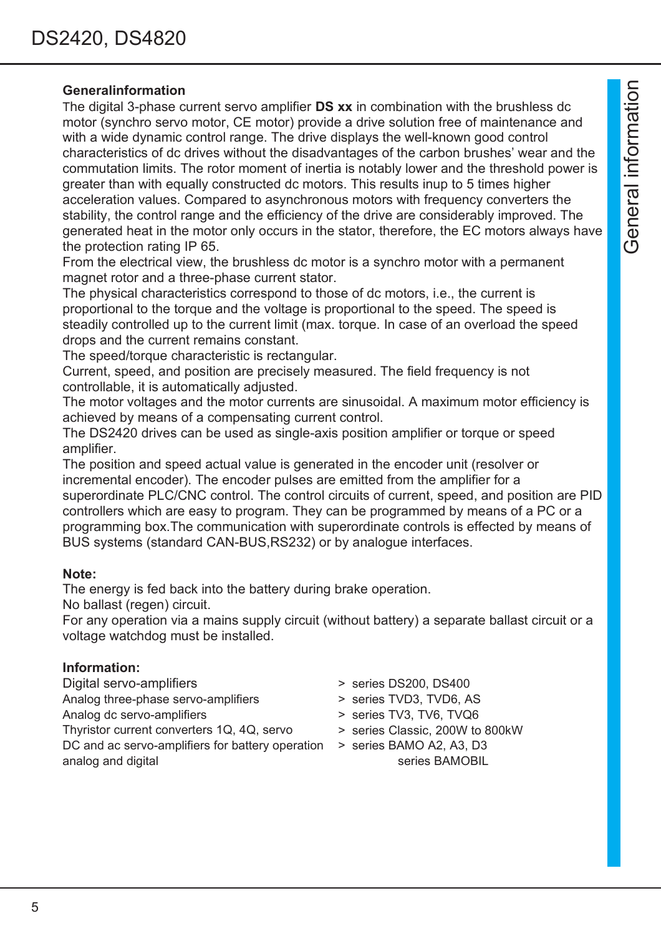#### **Generalinformation**

The digital 3-phase current servo amplifier **DS xx** in combination with the brushless dc motor (synchro servo motor, CE motor) provide a drive solution free of maintenance and with a wide dynamic control range. The drive displays the well-known good control characteristics of dc drives without the disadvantages of the carbon brushes' wear and the commutation limits. The rotor moment of inertia is notably lower and the threshold power is greater than with equally constructed dc motors. This results inup to 5 times higher acceleration values. Compared to asynchronous motors with frequency converters the stability, the control range and the efficiency of the drive are considerably improved. The generated heat in the motor only occurs in the stator, therefore, the EC motors always have the protection rating IP 65.

From the electrical view, the brushless dc motor is a synchro motor with a permanent magnet rotor and a three-phase current stator.

The physical characteristics correspond to those of dc motors, i.e., the current is proportional to the torque and the voltage is proportional to the speed. The speed is steadily controlled up to the current limit (max. torque. In case of an overload the speed drops and the current remains constant.

The speed/torque characteristic is rectangular.

Current, speed, and position are precisely measured. The field frequency is not controllable, it is automatically adjusted.

The motor voltages and the motor currents are sinusoidal. A maximum motor efficiency is achieved by means of a compensating current control.

The DS2420 drives can be used as single-axis position amplifier or torque or speed amplifier.

The position and speed actual value is generated in the encoder unit (resolver or incremental encoder). The encoder pulses are emitted from the amplifier for a superordinate PLC/CNC control. The control circuits of current, speed, and position are PID controllers which are easy to program. They can be programmed by means of a PC or a programming box.The communication with superordinate controls is effected by means of BUS systems (standard CAN-BUS,RS232) or by analogue interfaces.

#### **Note:**

The energy is fed back into the battery during brake operation.

No ballast (regen) circuit.

For any operation via a mains supply circuit (without battery) a separate ballast circuit or a voltage watchdog must be installed.

#### **Information:**

Digital servo-amplifiers > series DS200, DS400

Analog three-phase servo-amplifiers > series TVD3, TVD6, AS

Analog dc servo-amplifiers  $\rightarrow$  series TV3, TV6, TVQ6

Thyristor current converters 1Q, 4Q, servo > series Classic, 200W to 800kW

DC and ac servo-amplifiers for battery operation > series BAMO A2, A3, D3 analog and digital series BAMOBIL

- 
- 
- 
- 
-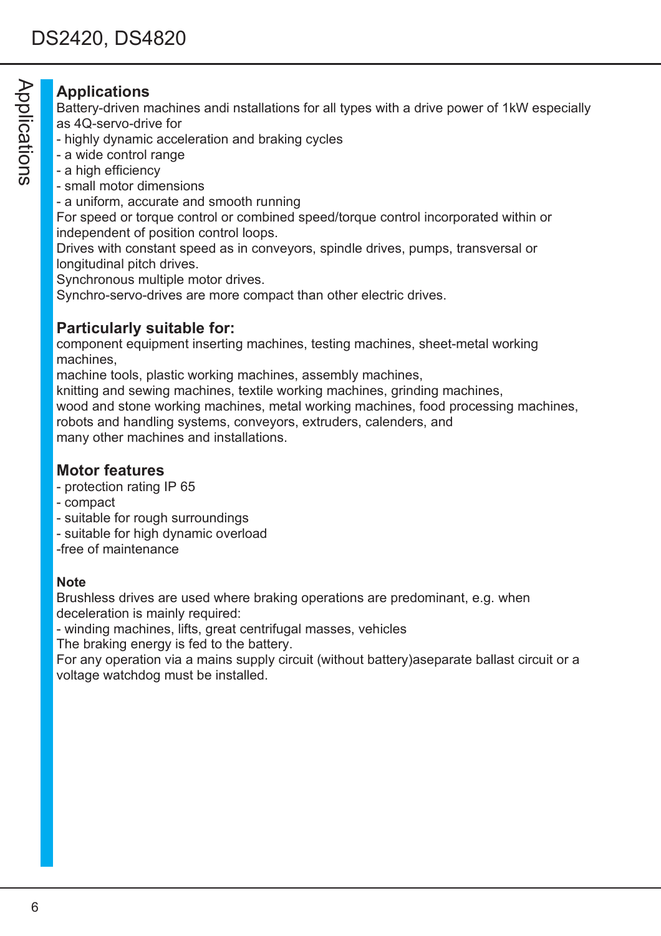# **Applications**

Battery-driven machines andi nstallations for all types with a drive power of 1kW especially as 4Q-servo-drive for

- highly dynamic acceleration and braking cycles
- a wide control range
- a high efficiency
- small motor dimensions
- a uniform, accurate and smooth running

For speed or torque control or combined speed/torque control incorporated within or independent of position control loops.

Drives with constant speed as in conveyors, spindle drives, pumps, transversal or longitudinal pitch drives.

Synchronous multiple motor drives.

Synchro-servo-drives are more compact than other electric drives.

## **Particularly suitable for:**

component equipment inserting machines, testing machines, sheet-metal working machines,

machine tools, plastic working machines, assembly machines,

knitting and sewing machines, textile working machines, grinding machines,

wood and stone working machines, metal working machines, food processing machines,

robots and handling systems, conveyors, extruders, calenders, and many other machines and installations.

#### **Motor features**

- protection rating IP 65
- compact
- suitable for rough surroundings
- suitable for high dynamic overload
- -free of maintenance

#### **Note**

Brushless drives are used where braking operations are predominant, e.g. when deceleration is mainly required:

- winding machines, lifts, great centrifugal masses, vehicles

The braking energy is fed to the battery.

For any operation via a mains supply circuit (without battery)aseparate ballast circuit or a voltage watchdog must be installed.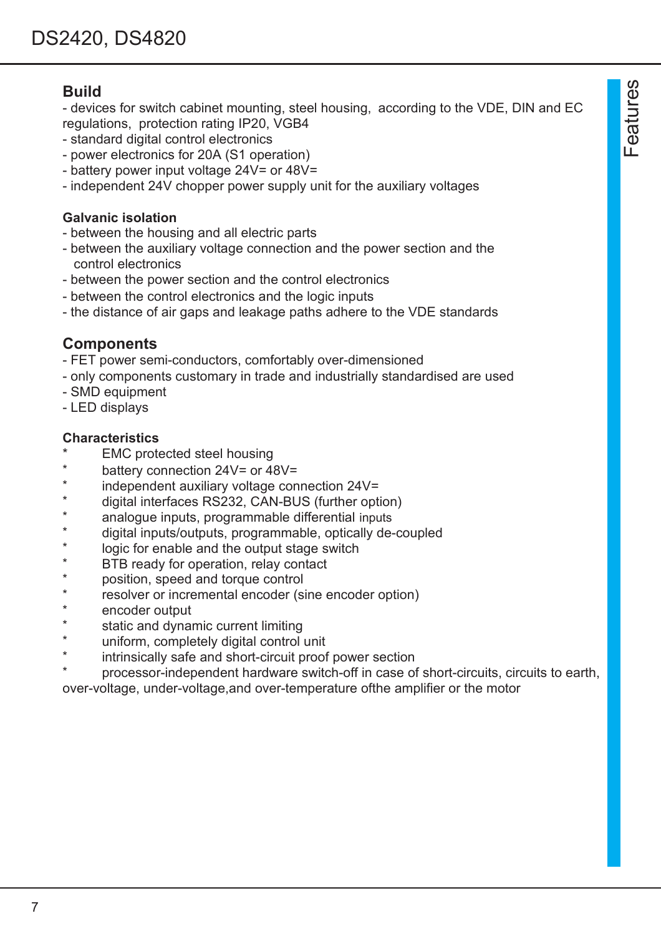# **Build**

- devices for switch cabinet mounting, steel housing, according to the VDE, DIN and EC regulations, protection rating IP20, VGB4

- standard digital control electronics
- power electronics for 20A (S1 operation)
- battery power input voltage 24V= or 48V=
- independent 24V chopper power supply unit for the auxiliary voltages

#### **Galvanic isolation**

- between the housing and all electric parts
- between the auxiliary voltage connection and the power section and the control electronics
- between the power section and the control electronics
- between the control electronics and the logic inputs
- the distance of air gaps and leakage paths adhere to the VDE standards

# **Components**

- FET power semi-conductors, comfortably over-dimensioned
- only components customary in trade and industrially standardised are used
- SMD equipment
- LED displays

#### **Characteristics**

- **EMC protected steel housing**
- battery connection 24V= or 48V=
- $independent$  auxiliary voltage connection 24V=
- digital interfaces RS232, CAN-BUS (further option)
- analogue inputs, programmable differential inputs
- digital inputs/outputs, programmable, optically de-coupled
- logic for enable and the output stage switch
- BTB ready for operation, relay contact
- position, speed and torque control
- resolver or incremental encoder (sine encoder option)
- encoder output
- static and dynamic current limiting
- uniform, completely digital control unit
- intrinsically safe and short-circuit proof power section
- processor-independent hardware switch-off in case of short-circuits, circuits to earth, over-voltage, under-voltage,and over-temperature ofthe amplifier or the motor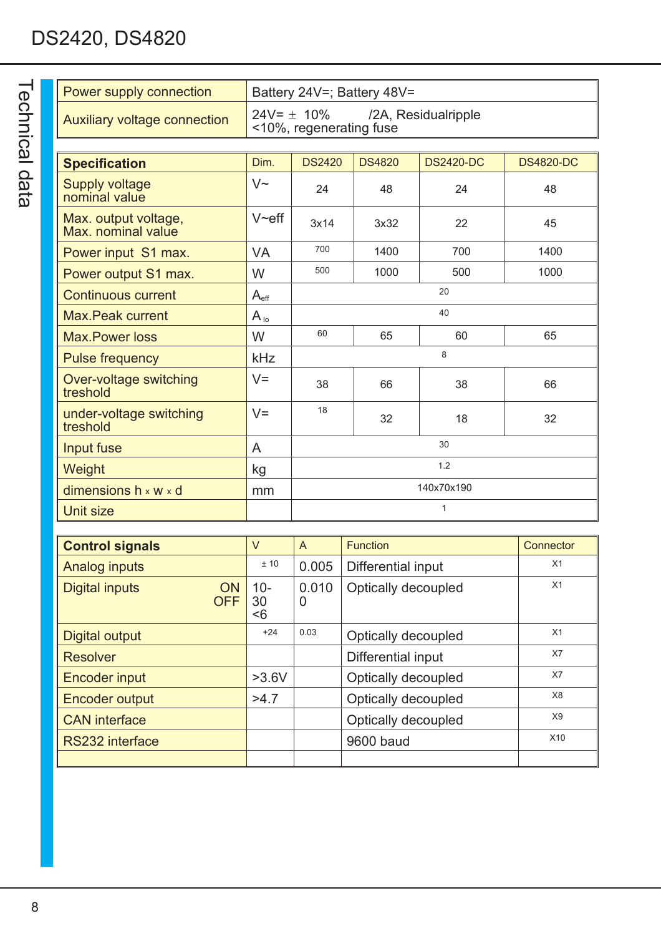# DS2420, DS4820

treshold

**Input fuse** A **A** 

**Weight** and the contract of the kg 1.2 and the contract of the contract of the contract of the contract of the contract of the contract of the contract of the contract of the contract of the contract of the contract of th

Unit size **1** and 1 and 1 and 1 and 1 and 1 and 1 and 1 and 1 and 1 and 1 and 1 and 1 and 1 and 1 and 1 and 1 and 1 and 1 and 1 and 1 and 1 and 1 and 1 and 1 and 1 and 1 and 1 and 1 and 1 and 1 and 1 and 1 and 1 and 1 and

 $\frac{1}{2}$  dimensions h x w x d mm  $\frac{1}{2}$  mm  $\frac{1}{2}$  mm  $\frac{1}{2}$  mm  $\frac{1}{2}$  mm  $\frac{1}{2}$  mm  $\frac{1}{2}$  mm  $\frac{1}{2}$  mm  $\frac{1}{2}$  mm  $\frac{1}{2}$  mm  $\frac{1}{2}$  mm  $\frac{1}{2}$  mm  $\frac{1}{2}$  mm  $\frac{1}{2}$  mm  $\frac{1}{2}$  mm  $\frac{1$ 

| Power supply connection                    | Battery 24V=; Battery 48V= |                                                                    |               |                  |                  |  |
|--------------------------------------------|----------------------------|--------------------------------------------------------------------|---------------|------------------|------------------|--|
| Auxiliary voltage connection               |                            | $24V = \pm 10\%$<br>/2A, Residualripple<br><10%, regenerating fuse |               |                  |                  |  |
|                                            |                            |                                                                    |               |                  |                  |  |
| <b>Specification</b>                       | Dim.                       | <b>DS2420</b>                                                      | <b>DS4820</b> | <b>DS2420-DC</b> | <b>DS4820-DC</b> |  |
| <b>Supply voltage</b><br>nominal value     | $V\sim$                    | 24                                                                 | 48            | 24               | 48               |  |
| Max. output voltage,<br>Max. nominal value | $V \sim eff$               | 3x14                                                               | 3x32          | 22               | 45               |  |
| Power input S1 max.                        | <b>VA</b>                  | 700                                                                | 1400          | 700              | 1400             |  |
| Power output S1 max.                       | W                          | 500                                                                | 1000          | 500              | 1000             |  |
| <b>Continuous current</b>                  | A <sub>eff</sub>           | 20                                                                 |               |                  |                  |  |
| <b>Max.Peak current</b>                    | $A_{10}$                   | 40                                                                 |               |                  |                  |  |
| <b>Max.Power loss</b>                      | W                          | 60                                                                 | 65            | 60               | 65               |  |
| <b>Pulse frequency</b>                     | kHz                        | 8                                                                  |               |                  |                  |  |
| Over-voltage switching<br>treshold         | $V =$                      | 38                                                                 | 66            | 38               | 66               |  |
| under-voltage switching                    | $V =$                      | 18                                                                 | 32            | 18               | 32               |  |

32 18 32

30

| <b>Control signals</b>                           | $\vee$              | $\overline{A}$    | <b>Function</b>     | Connector      |
|--------------------------------------------------|---------------------|-------------------|---------------------|----------------|
| Analog inputs                                    | ± 10                | 0.005             | Differential input  | X1             |
| <b>Digital inputs</b><br><b>ON</b><br><b>OFF</b> | $10 -$<br>30<br>< 6 | 0.010<br>$\Omega$ | Optically decoupled | X1             |
| Digital output                                   | $+24$               | 0.03              | Optically decoupled | X1             |
| <b>Resolver</b>                                  |                     |                   | Differential input  | X7             |
| Encoder input                                    | >3.6V               |                   | Optically decoupled | X7             |
| <b>Encoder output</b>                            | >4.7                |                   | Optically decoupled | X <sub>8</sub> |
| <b>CAN</b> interface                             |                     |                   | Optically decoupled | X <sub>9</sub> |
| RS232 interface                                  |                     |                   | 9600 baud           | X10            |
|                                                  |                     |                   |                     |                |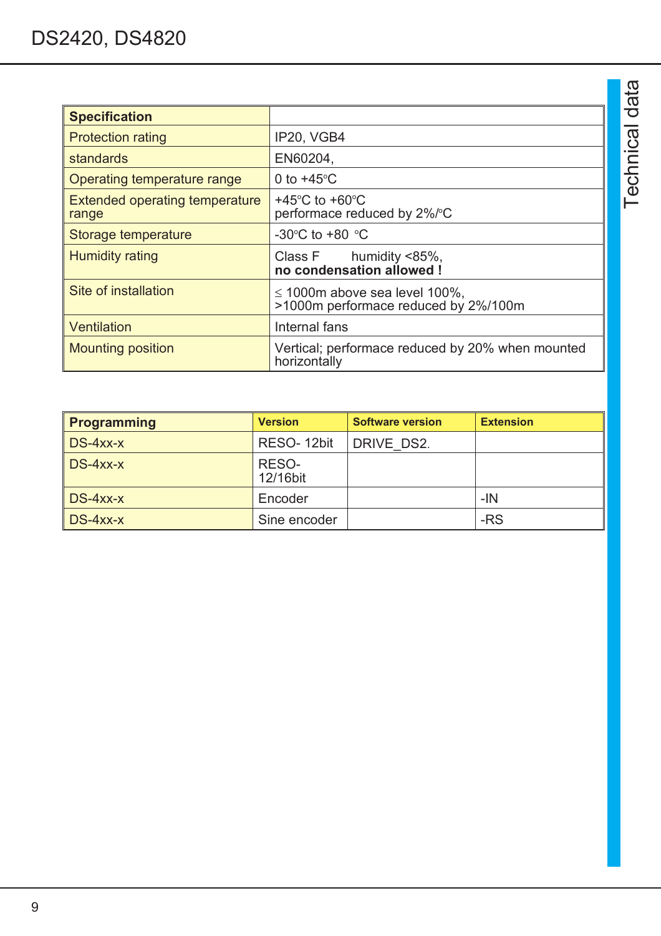| <b>Specification</b>                           |                                                                            |
|------------------------------------------------|----------------------------------------------------------------------------|
| <b>Protection rating</b>                       | IP20, VGB4                                                                 |
| standards                                      | EN60204,                                                                   |
| Operating temperature range                    | 0 to $+45^{\circ}$ C                                                       |
| <b>Extended operating temperature</b><br>range | $+45^{\circ}$ C to $+60^{\circ}$ C<br>performace reduced by 2%/°C          |
| Storage temperature                            | -30 $\mathrm{^{\circ}C}$ to +80 $\mathrm{^{\circ}C}$                       |
| <b>Humidity rating</b>                         | Class F humidity $<85\%$ ,<br>no condensation allowed !                    |
| Site of installation                           | $\leq$ 1000m above sea level 100%,<br>>1000m performace reduced by 2%/100m |
| <b>Ventilation</b>                             | Internal fans                                                              |
| <b>Mounting position</b>                       | Vertical; performace reduced by 20% when mounted<br>horizontally           |

| <b>Programming</b> | <b>Version</b>    | <b>Software version</b> | <b>Extension</b> |
|--------------------|-------------------|-------------------------|------------------|
| $DS-4xx-x$         | RESO-12bit        | DRIVE DS2.              |                  |
| $DS-4xx-x$         | RESO-<br>12/16bit |                         |                  |
| $DS-4xx-x$         | Encoder           |                         | $-IN$            |
| $DS-4xx-x$         | Sine encoder      |                         | -RS              |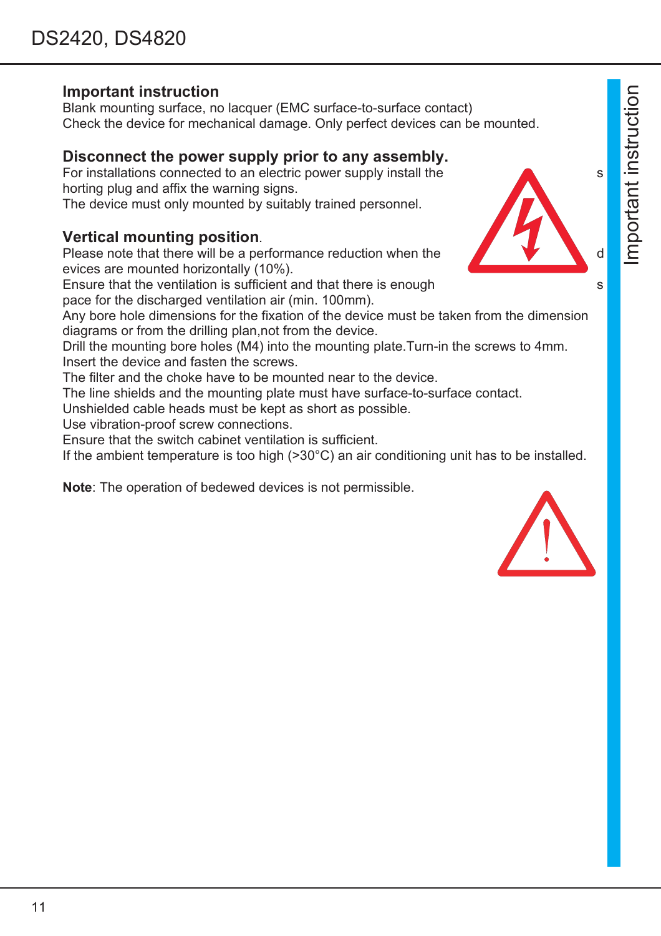11

# **Important instruction**

Blank mounting surface, no lacquer (EMC surface-to-surface contact) Check the device for mechanical damage. Only perfect devices can be mounted.

# **Disconnect the power supply prior to any assembly.**

For installations connected to an electric power supply install the same supply install the same supply install the same supply install the same supply install the same supply install the same supply install the same suppl horting plug and affix the warning signs. The device must only mounted by suitably trained personnel.

# **Vertical mounting position**.

Please note that there will be a performance reduction when the  $\overline{a}$ evices are mounted horizontally (10%).

Ensure that the ventilation is sufficient and that there is enough s pace for the discharged ventilation air (min. 100mm).

Any bore hole dimensions for the fixation of the device must be taken from the dimension diagrams or from the drilling plan,not from the device.

Drill the mounting bore holes (M4) into the mounting plate.Turn-in the screws to 4mm. Insert the device and fasten the screws.

The filter and the choke have to be mounted near to the device.

The line shields and the mounting plate must have surface-to-surface contact.

Unshielded cable heads must be kept as short as possible.

Use vibration-proof screw connections.

Ensure that the switch cabinet ventilation is sufficient.

If the ambient temperature is too high (>30°C) an air conditioning unit has to be installed.

**Note**: The operation of bedewed devices is not permissible.



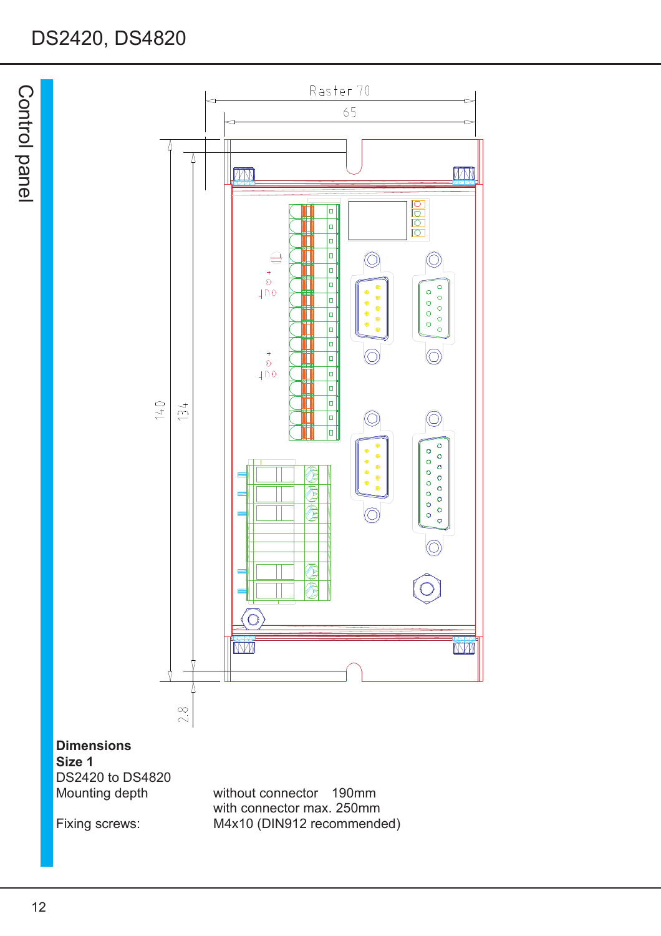# DS2420, DS4820



#### **Dimensions**

**Size 1** DS2420 to DS4820<br>Mounting depth

without connector 190mm with connector max. 250mm Fixing screws: M4x10 (DIN912 recommended)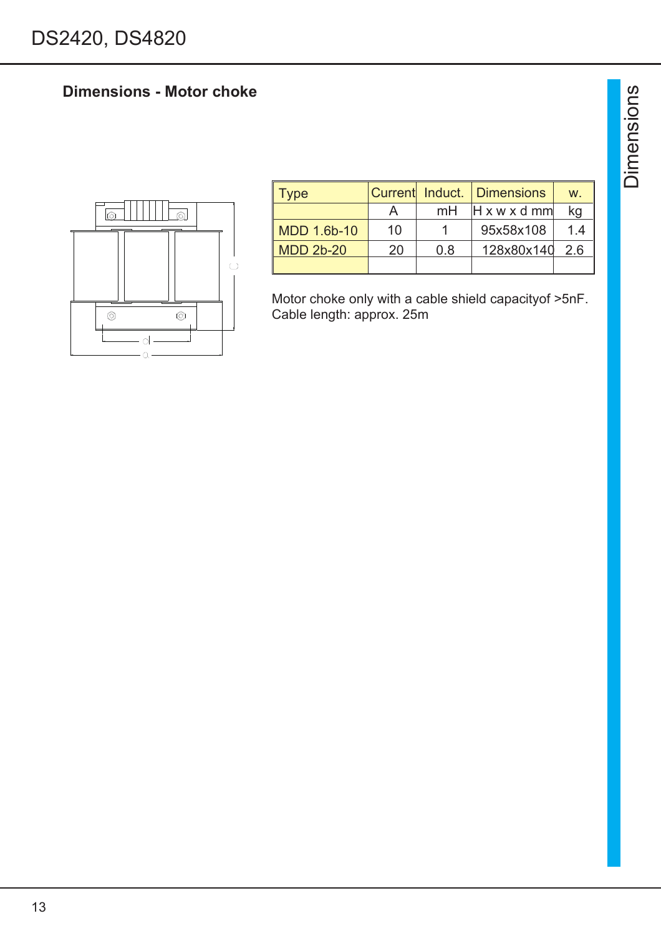# **Dimensions - Motor choke**



| <b>Type</b>        |    |     | Current Induct. Dimensions | W.  |
|--------------------|----|-----|----------------------------|-----|
|                    |    | mH. | $H \times W \times d$ mm   | kg  |
| <b>MDD 1.6b-10</b> | 10 |     | 95x58x108                  | 1.4 |
| <b>MDD 2b-20</b>   | 20 | 0.8 | 128x80x140                 | 2.6 |
|                    |    |     |                            |     |

Motor choke only with a cable shield capacityof >5nF. Cable length: approx. 25m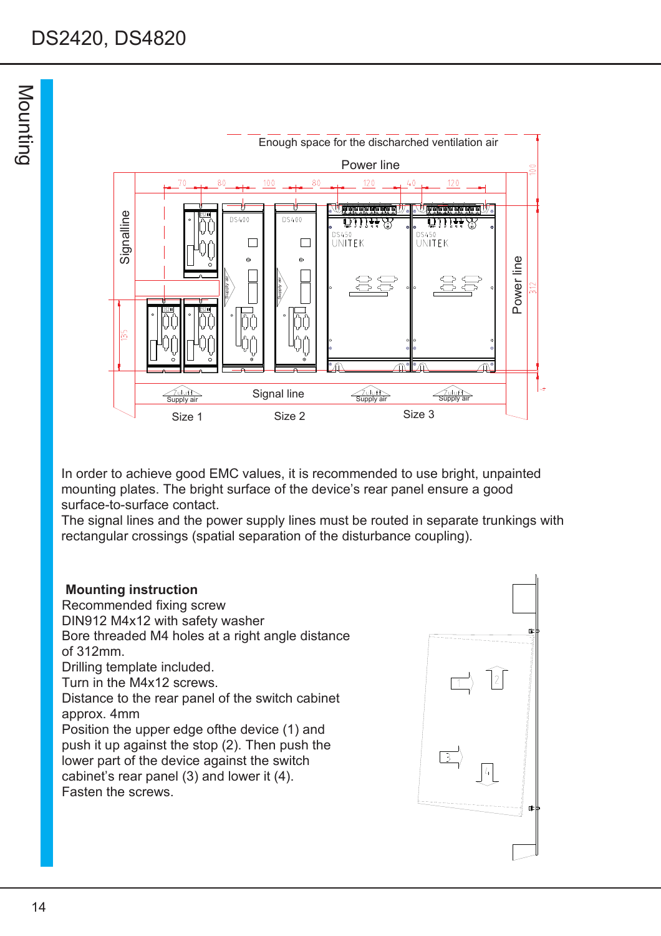

In order to achieve good EMC values, it is recommended to use bright, unpainted mounting plates. The bright surface of the device's rear panel ensure a good surface-to-surface contact.

The signal lines and the power supply lines must be routed in separate trunkings with rectangular crossings (spatial separation of the disturbance coupling).

#### **Mounting instruction**

Recommended fixing screw DIN912 M4x12 with safety washer Bore threaded M4 holes at a right angle distance of 312mm. Drilling template included. Turn in the M4x12 screws. Distance to the rear panel of the switch cabinet approx. 4mm Position the upper edge ofthe device (1) and push it up against the stop (2). Then push the lower part of the device against the switch cabinet's rear panel (3) and lower it (4). Fasten the screws.

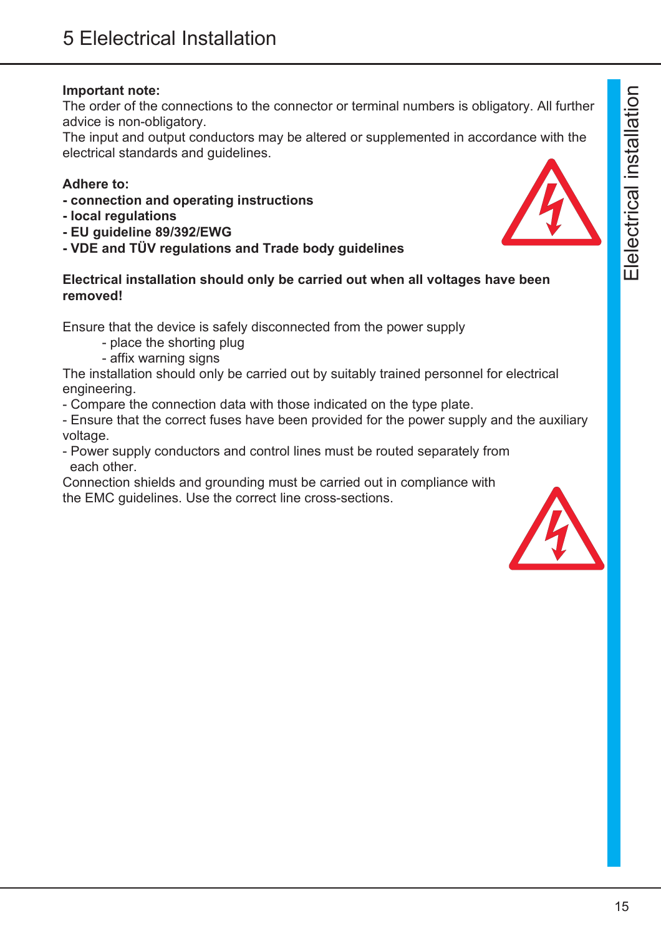#### **Important note:**

The order of the connections to the connector or terminal numbers is obligatory. All further advice is non-obligatory.

The input and output conductors may be altered or supplemented in accordance with the electrical standards and guidelines.

#### **Adhere to:**

- **connection and operating instructions**
- **local regulations**
- **EU guideline 89/392/EWG**
- **VDE and TÜV regulations and Trade body guidelines**

#### **Electrical installation should only be carried out when all voltages have been removed!**

Ensure that the device is safely disconnected from the power supply

- place the shorting plug
- affix warning signs

The installation should only be carried out by suitably trained personnel for electrical engineering.

- Compare the connection data with those indicated on the type plate.

- Ensure that the correct fuses have been provided for the power supply and the auxiliary voltage.

- Power supply conductors and control lines must be routed separately from each other.

Connection shields and grounding must be carried out in compliance with the EMC guidelines. Use the correct line cross-sections.



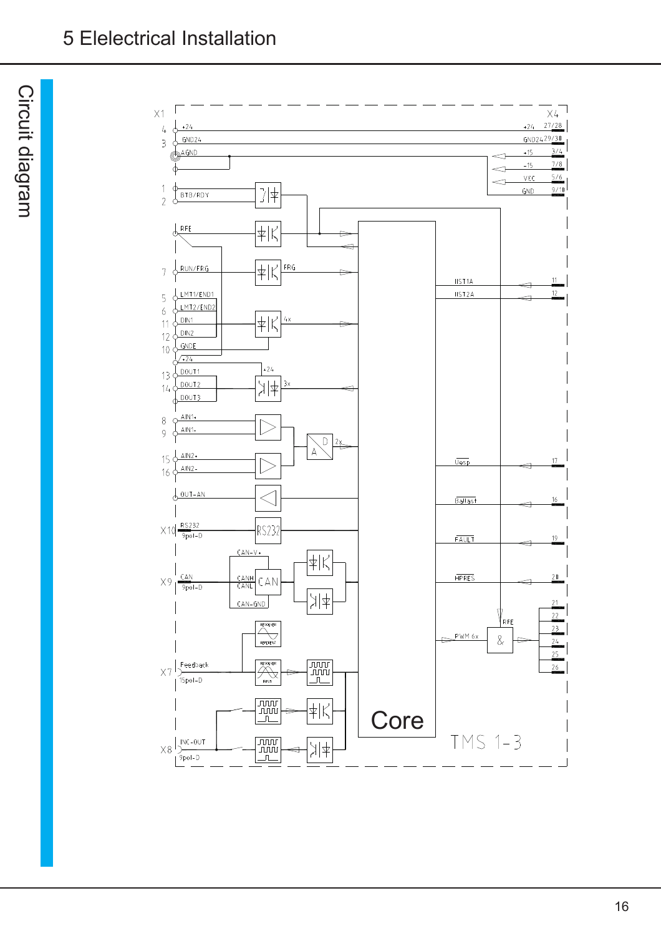# 5 Elelectrical Installation

 $\sum_{i=1}^n$  $\mathsf{\Omega}$ ⊆<br>∓ م<br>ه gra  $\exists$ 

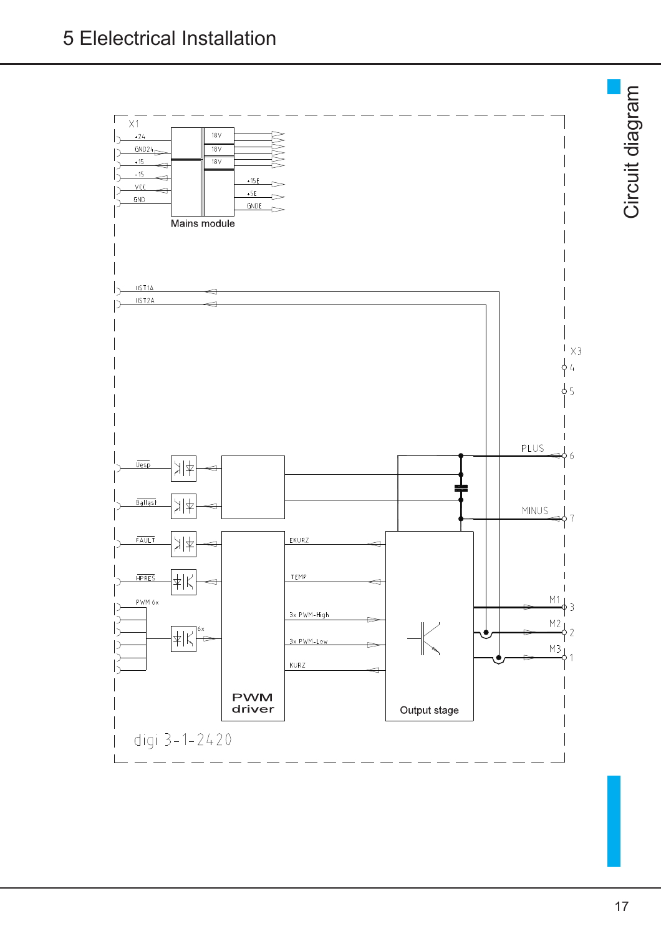

Cir  $\mathbf{\Omega}$  . i<br>İ dia ලා $\overline{C}$ r a  $\mathbf \Xi$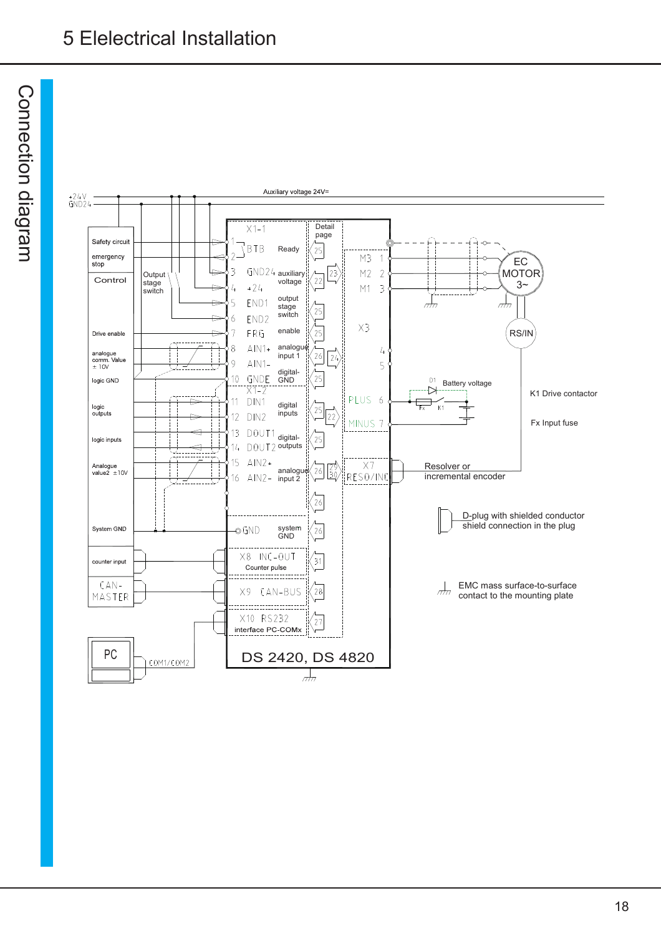

 $\bigcirc$ o コ コ ወ  $\bm{\mathsf{\Omega}}$ tio  $\overline{\phantom{0}}$ dia gra  $\Xi$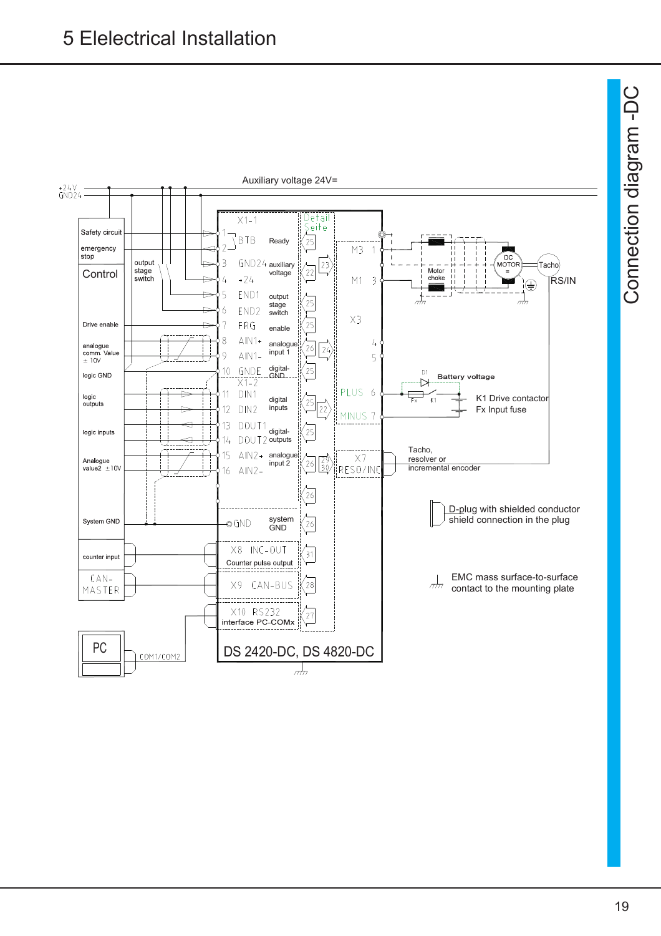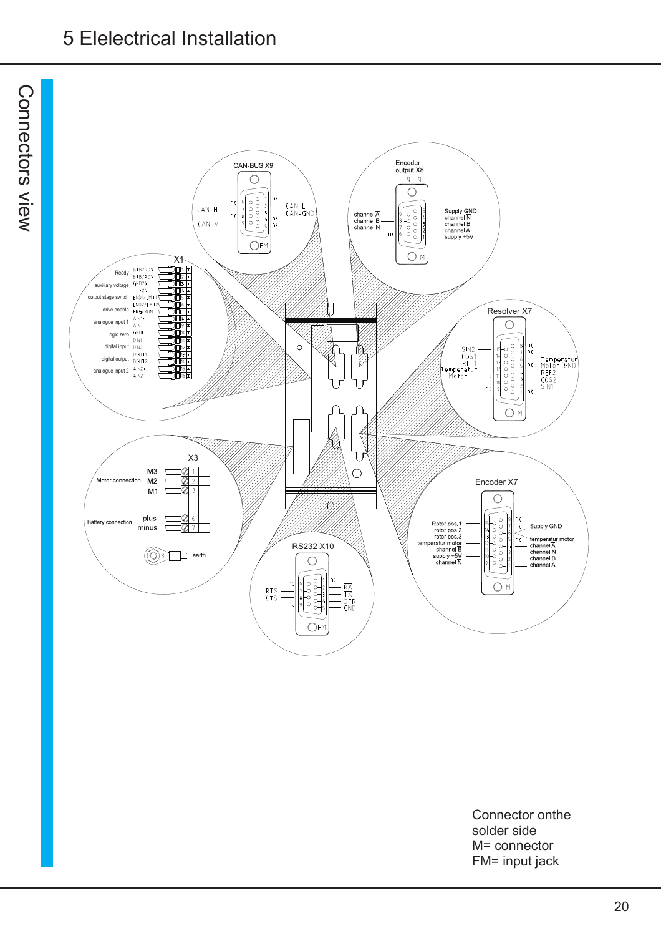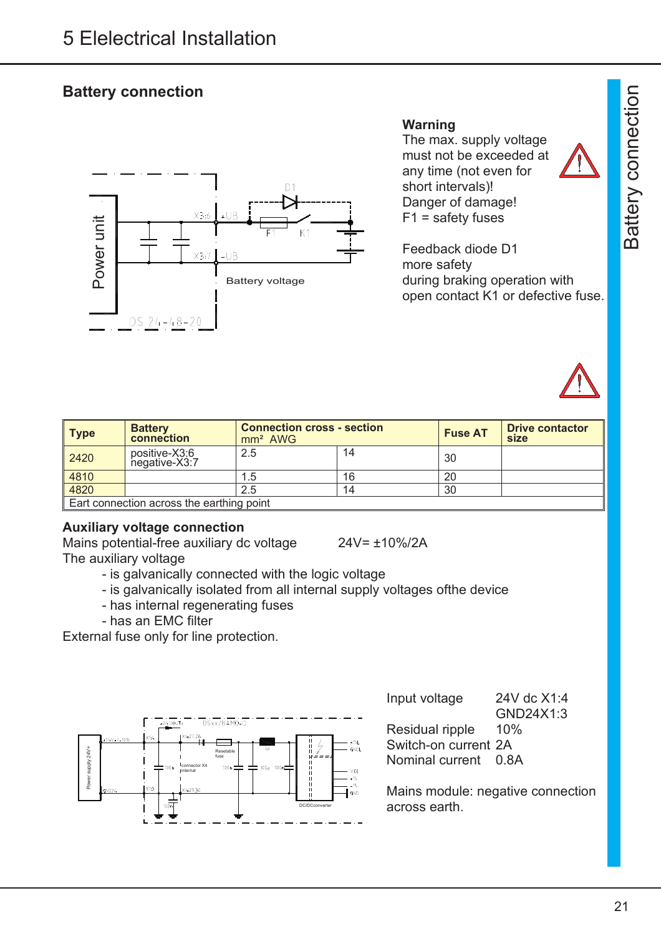# **Battery connection**



#### **Warning**

The max. supply voltage must not be exceeded at any time (not even for short intervals)! Danger of damage!  $F1$  = safety fuses

Feedback diode D1 more safety during braking operation with open contact K1 or defective fuse.



| <b>Type</b>                               | <b>Battery</b><br>connection   | <b>Connection cross - section</b><br>$mm2$ AWG |    | <b>Fuse AT</b> | <b>Drive contactor</b><br>size |
|-------------------------------------------|--------------------------------|------------------------------------------------|----|----------------|--------------------------------|
| 2420                                      | positive-X3:6<br>negative-X3:7 | 2.5                                            | 14 | 30             |                                |
| 4810                                      |                                | 1.5                                            | 16 | 20             |                                |
| 4820                                      |                                | 2.5                                            | 14 | 30             |                                |
| Eart connection across the earthing point |                                |                                                |    |                |                                |

#### **Auxiliary voltage connection**

Mains potential-free auxiliary dc voltage 24V= ±10%/2A The auxiliary voltage

- 
- - is galvanically connected with the logic voltage
		- is galvanically isolated from all internal supply voltages ofthe device
		- has internal regenerating fuses
		- has an EMC filter

External fuse only for line protection.



Input voltage 24V dc X1:4 GND24X1:3 Residual ripple 10% Switch-on current 2A Nominal current 0.8A

Mains module: negative connection across earth.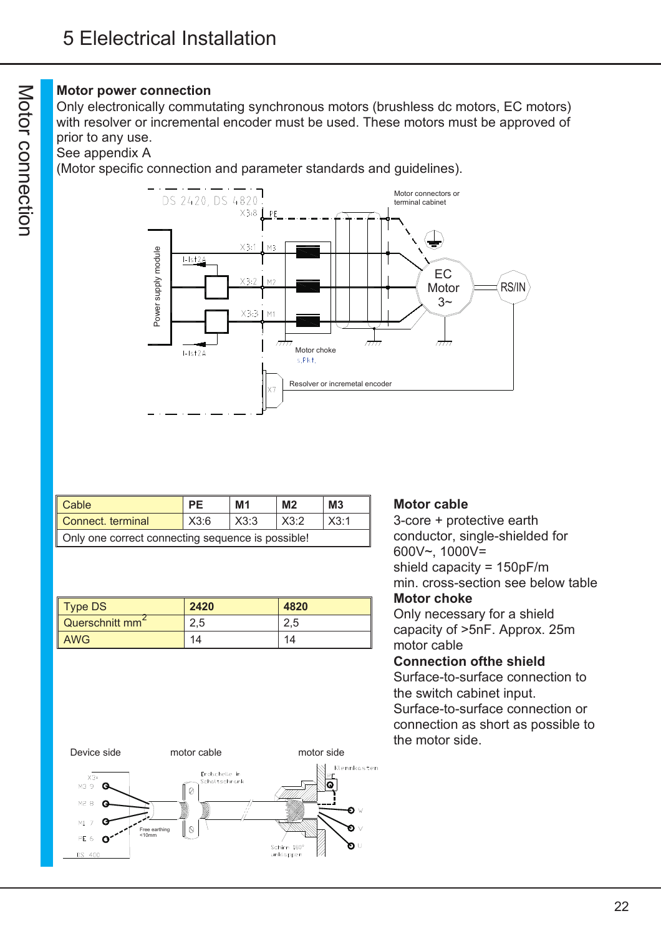#### **Motor power connection**

Only electronically commutating synchronous motors (brushless dc motors, EC motors) with resolver or incremental encoder must be used. These motors must be approved of prior to any use.

See appendix A

(Motor specific connection and parameter standards and guidelines).



| Cable                                             | <b>PE</b> | M1   | M <sub>2</sub> | M <sub>3</sub> |
|---------------------------------------------------|-----------|------|----------------|----------------|
| Connect, terminal                                 | X3:6      | X3:3 | X3:2           | X3:1           |
| Only one correct connecting sequence is possible! |           |      |                |                |

| Type DS                     | 2420 | 4820 |
|-----------------------------|------|------|
| Querschnitt mm <sup>2</sup> | 2.5  | د.ء  |
| <b>AWG</b>                  | 14   | 14   |

#### **Motor cable**

3-core + protective earth conductor, single-shielded for 600V~, 1000V= shield capacity = 150pF/m min. cross-section see below table **Motor choke**

Only necessary for a shield capacity of >5nF. Approx. 25m motor cable

#### **Connection ofthe shield**

Surface-to-surface connection to the switch cabinet input. Surface-to-surface connection or connection as short as possible to

the motor side.





umklapper

DS 400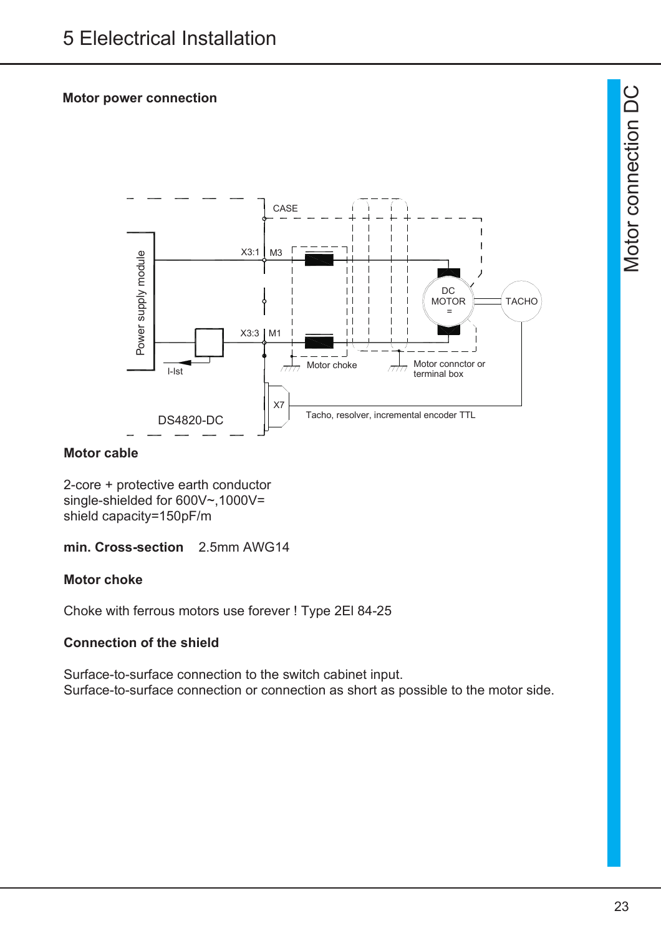#### **Motor power connection**



#### **Motor cable**

2-core + protective earth conductor single-shielded for 600V~,1000V= shield capacity=150pF/m

**min. Cross-section** 2.5mm AWG14

#### **Motor choke**

Choke with ferrous motors use forever ! Type 2El 84-25

#### **Connection of the shield**

Surface-to-surface connection to the switch cabinet input. Surface-to-surface connection or connection as short as possible to the motor side.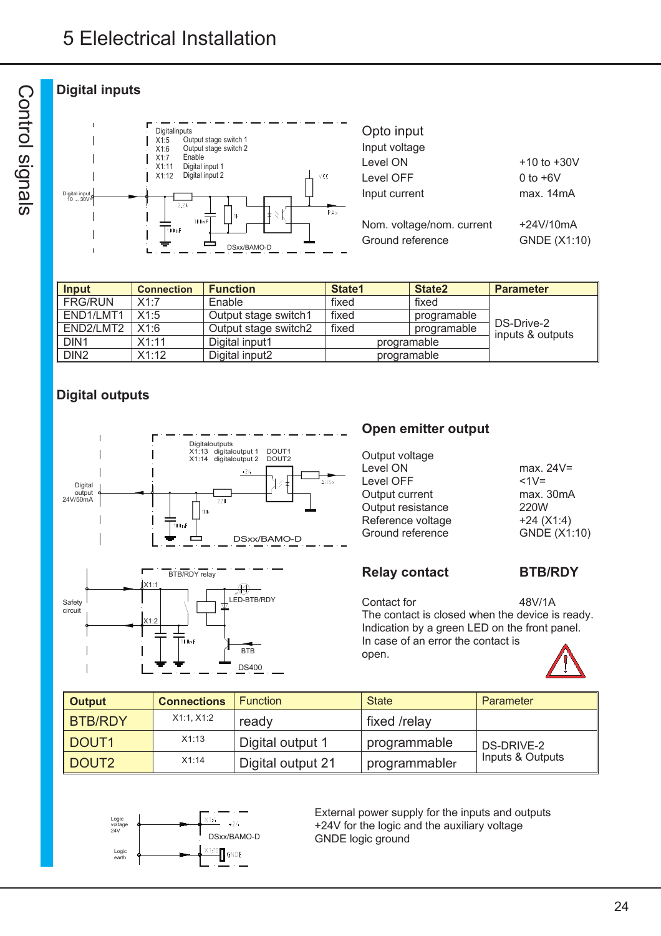#### **Digital inputs**



| Opto input                |                 |
|---------------------------|-----------------|
| Input voltage             |                 |
| Level ON                  | $+10$ to $+30V$ |
| Level OFF                 | $0$ to $+6V$    |
| Input current             | max. 14mA       |
|                           |                 |
| Nom. voltage/nom. current | +24V/10mA       |
| Ground reference          | GNDE (X1:10)    |
|                           |                 |

| <b>Input</b>     | <b>Connection</b> | <b>Function</b>      | State1      | <b>State2</b> | <b>Parameter</b>               |
|------------------|-------------------|----------------------|-------------|---------------|--------------------------------|
| <b>FRG/RUN</b>   | X1:7              | Enable               | fixed       | fixed         |                                |
| END1/LMT1        | X1:5              | Output stage switch1 | fixed       | programable   |                                |
| END2/LMT2        | X1:6              | Output stage switch2 | fixed       | programable   | DS-Drive-2<br>inputs & outputs |
| DIN <sub>1</sub> | X1:11             | Digital input1       | programable |               |                                |
| DIN <sub>2</sub> | X1:12             | Digital input2       | programable |               |                                |

## **Digital outputs**





#### **Open emitter output**

Output voltage Level ON  $\begin{array}{ccc} \text{max. } & 24\text{V} = \\ \text{level } & \text{OFF} \\ \text{curve } & & & & & & & & \end{array}$ Level OFF Output current max. 30mA<br>Output resistance 220W Output resistance Reference voltage  $+24$  (X1:4)<br>Ground reference GNDE (X1:10) Ground reference

#### **Relay contact BTB/RDY**

Contact for 48V/1A The contact is closed when the device is ready. Indication by a green LED on the front panel. In case of an error the contact is open.

| ٠ |
|---|
|   |

| <b>Output</b>     | <b>Connections</b> | <b>Function</b>   | <b>State</b>  | Parameter        |
|-------------------|--------------------|-------------------|---------------|------------------|
| <b>BTB/RDY</b>    | X1:1, X1:2         | ready             | fixed /relay  |                  |
| DOUT <sub>1</sub> | X1:13              | Digital output 1  | programmable  | DS-DRIVE-2       |
| DOUT <sub>2</sub> | X1:14              | Digital output 21 | programmabler | Inputs & Outputs |



External power supply for the inputs and outputs +24V for the logic and the auxiliary voltage GNDE logic ground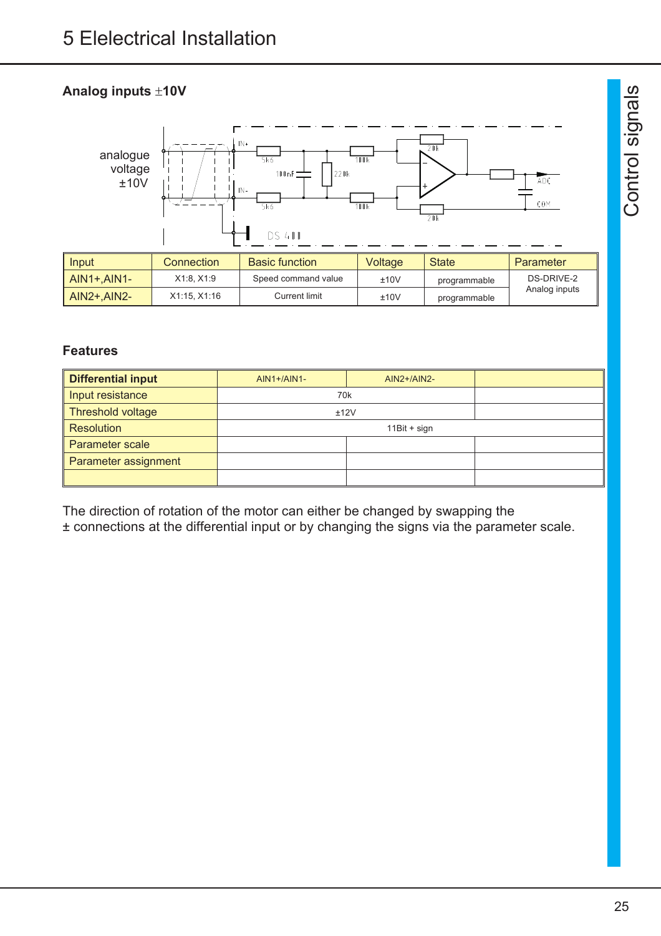# **Analog inputs**  $\pm$ **10V**



AIN2+,AIN2- X1:15, X1:16 Current limit +10V programmable

#### **Features**

| <b>Differential input</b> | $AIN1+/AIN1-$   | $AlN2+/AlN2-$ |  |
|---------------------------|-----------------|---------------|--|
| Input resistance          | 70 <sub>k</sub> |               |  |
| Threshold voltage         | ±12V            |               |  |
| <b>Resolution</b>         | $11Bit + sign$  |               |  |
| Parameter scale           |                 |               |  |
| Parameter assignment      |                 |               |  |
|                           |                 |               |  |

The direction of rotation of the motor can either be changed by swapping the ± connections at the differential input or by changing the signs via the parameter scale.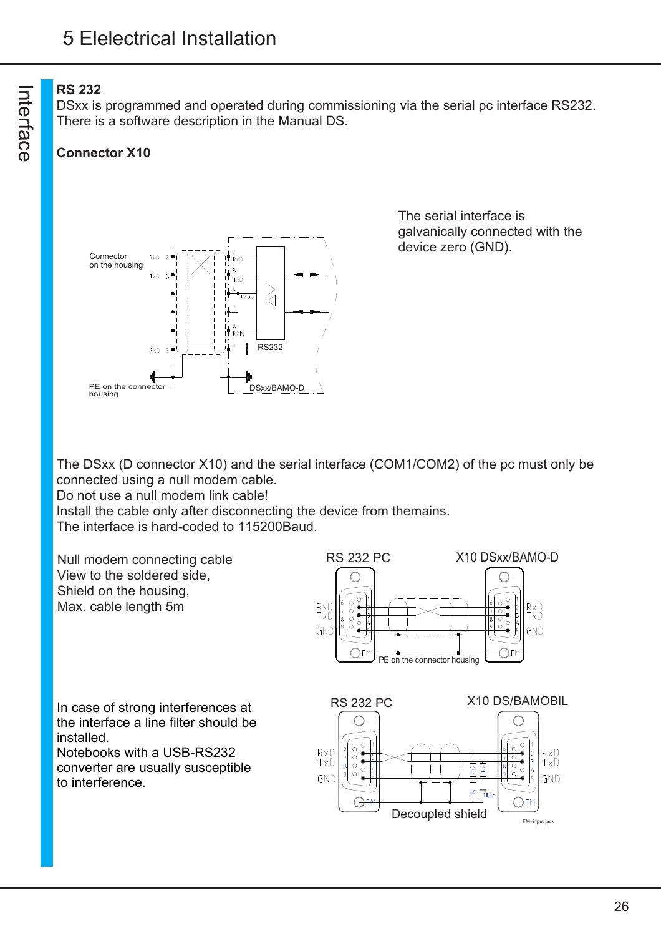#### **RS 232**

In t e

ᆨ  $\boldsymbol{\omega}$  $\bm{\mathsf{\Omega}}$ ወ

DSxx is programmed and operated during commissioning via the serial pc interface RS232. There is a software description in the Manual DS.

#### **Connector X10**



The serial interface is galvanically connected with the device zero (GND).

The DSxx (D connector X10) and the serial interface (COM1/COM2) of the pc must only be connected using a null modem cable.

Do not use a null modem link cable!

Install the cable only after disconnecting the device from themains.

The interface is hard-coded to 115200Baud.

Null modem connecting cable View to the soldered side, Shield on the housing, Max. cable length 5m



In case of strong interferences at installed. Notebooks with a USB-RS232 the interface a line filter should be

converter are usually susceptible to interference.

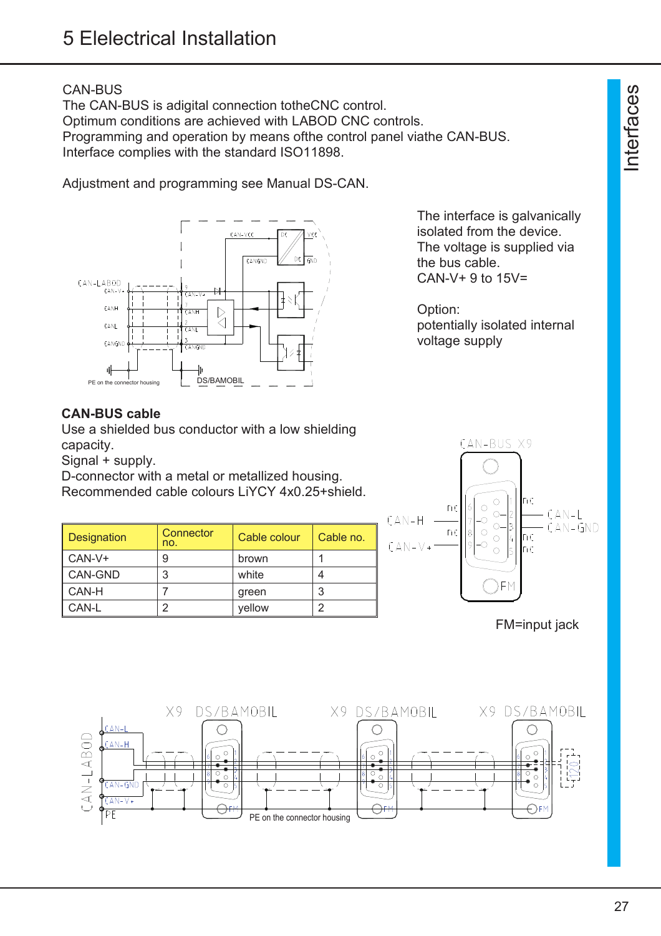#### CAN-BUS

The CAN-BUS is adigital connection totheCNC control. Optimum conditions are achieved with LABOD CNC controls. Programming and operation by means ofthe control panel viathe CAN-BUS. Interface complies with the standard ISO11898.

Adjustment and programming see Manual DS-CAN.



**CAN-BUS cable**

Use a shielded bus conductor with a low shielding capacity.

Signal + supply.

D-connector with a metal or metallized housing. Recommended cable colours LiYCY 4x0.25+shield.

| Designation | <b>Connector</b><br>no. | Cable colour | Cable no. |
|-------------|-------------------------|--------------|-----------|
| CAN-V+      | 9                       | brown        |           |
| CAN-GND     | 3                       | white        |           |
| CAN-H       |                         | green        | 3         |
| CAN-L       | っ                       | yellow       |           |



FM=input jack



The interface is galvanically isolated from the device. The voltage is supplied via the bus cable.  $CAN-V+9$  to  $15V=$ 

Option: potentially isolated internal voltage supply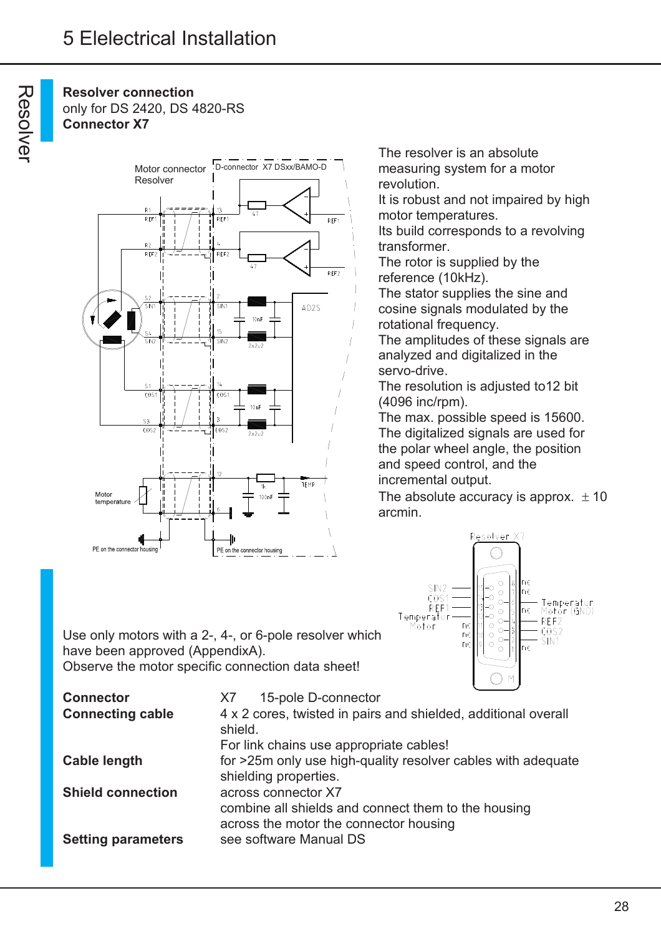**Resolver connection** only for DS 2420, DS 4820-RS **Connector X7**



The resolver is an absolute measuring system for a motor revolution.

It is robust and not impaired by high motor temperatures.

Its build corresponds to a revolving transformer.

The rotor is supplied by the reference (10kHz).

The stator supplies the sine and cosine signals modulated by the rotational frequency.

The amplitudes of these signals are analyzed and digitalized in the servo-drive.

The resolution is adiusted to 12 bit (4096 inc/rpm).

The max. possible speed is 15600. The digitalized signals are used for the polar wheel angle, the position and speed control, and the incremental output.

The absolute accuracy is approx.  $\pm 10$ arcmin.



Use only motors with a 2-, 4-, or 6-pole resolver which have been approved (AppendixA). Observe the motor specific connection data sheet!

| <b>Connector</b>          | 15-pole D-connector<br>X7                                                                                            |
|---------------------------|----------------------------------------------------------------------------------------------------------------------|
| <b>Connecting cable</b>   | 4 x 2 cores, twisted in pairs and shielded, additional overall<br>shield.                                            |
|                           | For link chains use appropriate cables!                                                                              |
| <b>Cable length</b>       | for >25m only use high-quality resolver cables with adequate<br>shielding properties.                                |
| <b>Shield connection</b>  | across connector X7<br>combine all shields and connect them to the housing<br>across the motor the connector housing |
| <b>Setting parameters</b> | see software Manual DS                                                                                               |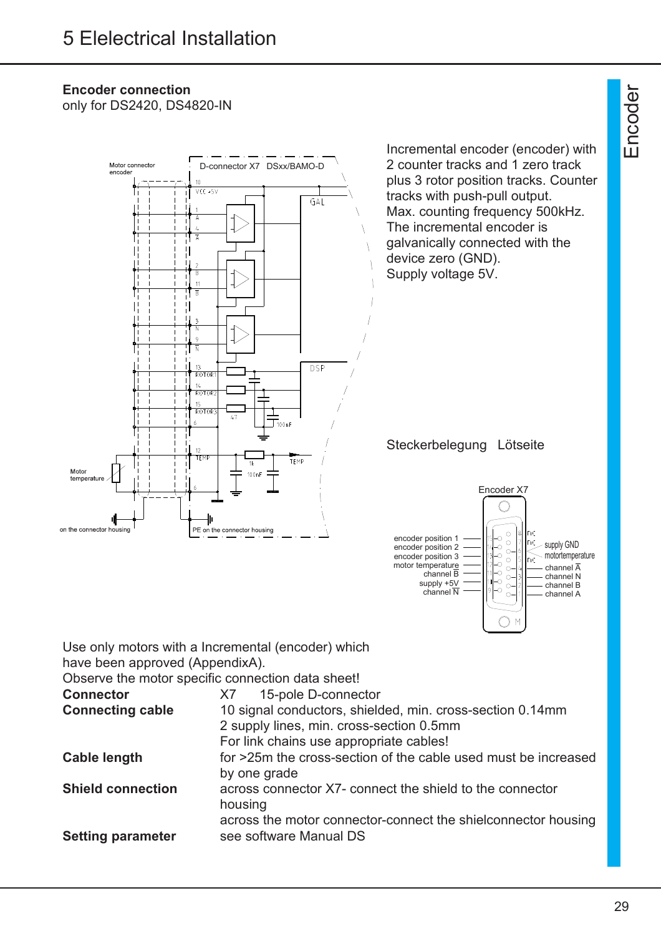#### **Encoder connection** only for DS2420, DS4820-IN Incremental encoder (encoder) with 2 counter tracks and 1 zero track Motor connector D-connector X7 DSxx/BAMO-D encode plus 3 rotor position tracks. Counter  $\overline{VC + 5V}$ tracks with push-pull output.  $GAL$ Max. counting frequency 500kHz. The incremental encoder is galvanically connected with the device zero (GND). Supply voltage 5V.  $\overline{\mathsf{r}}$  $11$ Ē  $\alpha$ **DSP**  $14$ **ROTOR**  $15$  $\frac{1}{R0}$ TOR Steckerbelegung Lötseite  $12$ **TFM** TEMP  $1<sub>k</sub>$ Motor  $100r$ temperature Encoder X7  $\bigcirc$ on the connector housing PE on the connector housing  $\circ$ nr  $\overline{\circ}$ encoder position 1  $\circ$ nc  $\circ$ encoder position 2  $\begin{array}{c}\n 14 \\
13 \\
-0 \\
-0 \\
-0 \\
-0 \\
-0 \\
-0 \\
\end{array}$ encoder position 3

 $\sqcup$  $\mathbf \Omega$  $\mathsf{\mathsf{C}}$ oてつこう こうきょう ていしゃ てんしゃく てんしゃく こうきょう ていしゅう ていしゅう こうこうかい こうこうかい こうこうかい こうこうかい こうこうしゃ こうしゃ こうしゃ こうしゃ こうしゃ こうしゃ こうしゃ ے<br>0

Use only motors with a Incremental (encoder) which have been approved (AppendixA).

Observe the motor specific connection data sheet!

| <b>Connector</b>         | 15-pole D-connector<br>X7                                                               |
|--------------------------|-----------------------------------------------------------------------------------------|
| <b>Connecting cable</b>  | 10 signal conductors, shielded, min. cross-section 0.14mm                               |
|                          | 2 supply lines, min. cross-section 0.5mm                                                |
|                          | For link chains use appropriate cables!                                                 |
| <b>Cable length</b>      | for >25m the cross-section of the cable used must be increased<br>by one grade          |
| <b>Shield connection</b> | across connector X7- connect the shield to the connector<br>housing                     |
| <b>Setting parameter</b> | across the motor connector-connect the shielconnector housing<br>see software Manual DS |

motor temperature channel B supply +5V  $ch$ annel  $\overline{N}$  channel  $\overline{A}$ channel N channel B channel A

supply GND motortemperature

nr

 $\circ$  $\overline{\circ}$  $\circ$ 

> ∩  $\mathbb{N}$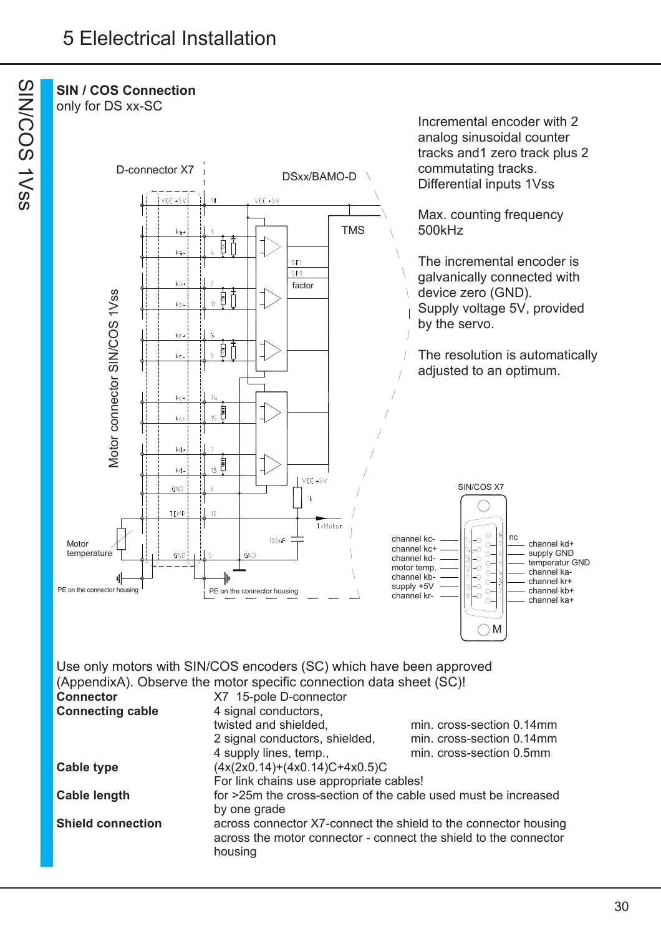



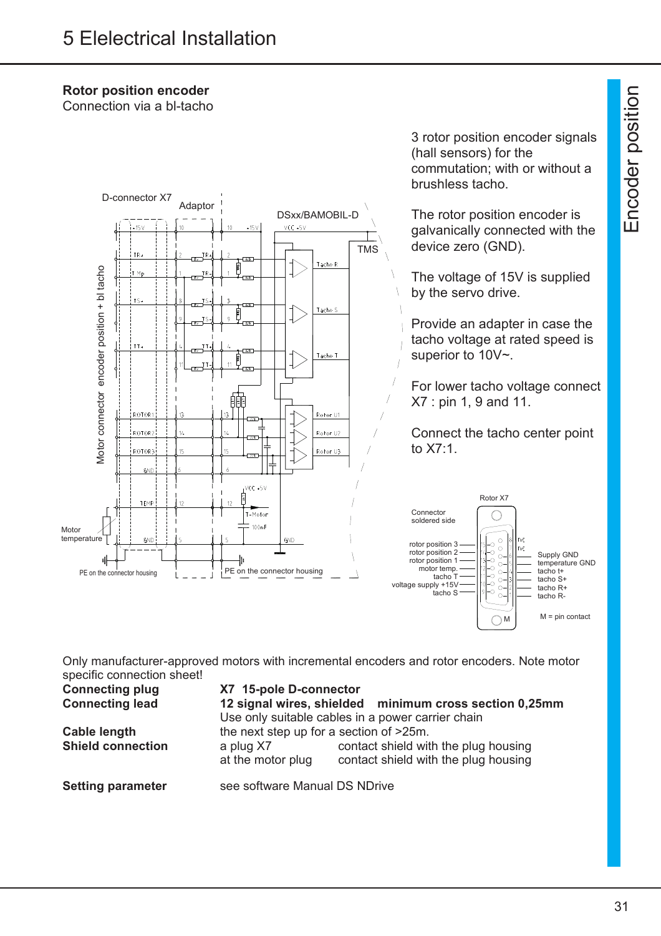#### **Rotor position encoder**

Connection via a bl-tacho



Only manufacturer-approved motors with incremental encoders and rotor encoders. Note motor specific connection sheet!

| <b>Connecting plug</b>   | X7 15-pole D-connector         |                                                                                              |
|--------------------------|--------------------------------|----------------------------------------------------------------------------------------------|
| <b>Connecting lead</b>   |                                | 12 signal wires, shielded minimum cross section 0,25mm                                       |
| Cable length             |                                | Use only suitable cables in a power carrier chain<br>the next step up for a section of >25m. |
| <b>Shield connection</b> | a plug X7<br>at the motor plug | contact shield with the plug housing<br>contact shield with the plug housing                 |
| <b>Setting parameter</b> | see software Manual DS NDrive  |                                                                                              |

 $\mathbf \subset$ 

3 rotor position encoder signals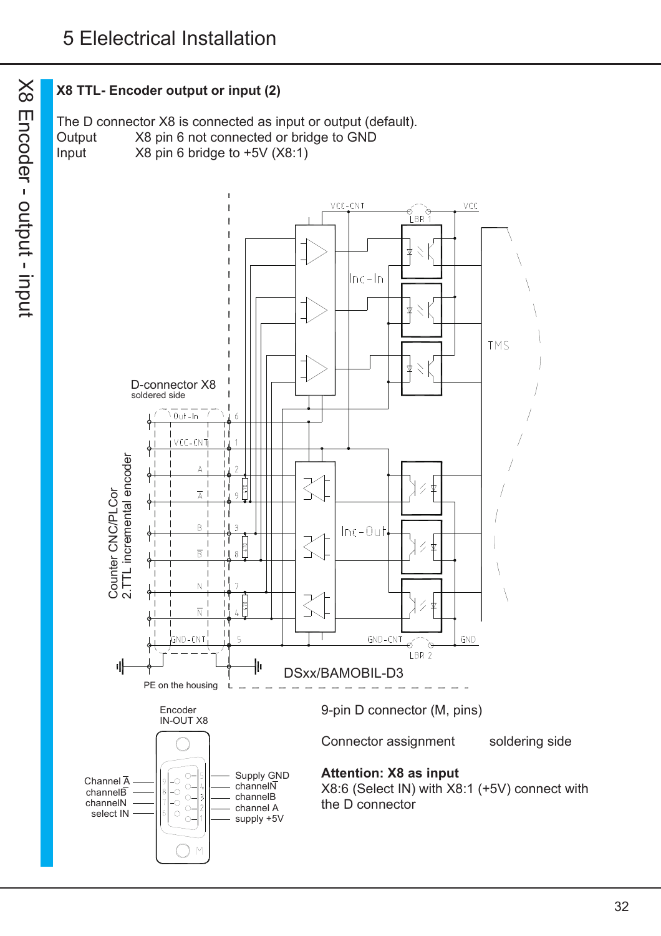# **X8 TTL- Encoder output or input (2)**

The D connector X8 is connected as input or output (default). Output X8 pin 6 not connected or bridge to GND Input  $X8$  pin 6 bridge to  $+5V$  ( $X8:1$ )

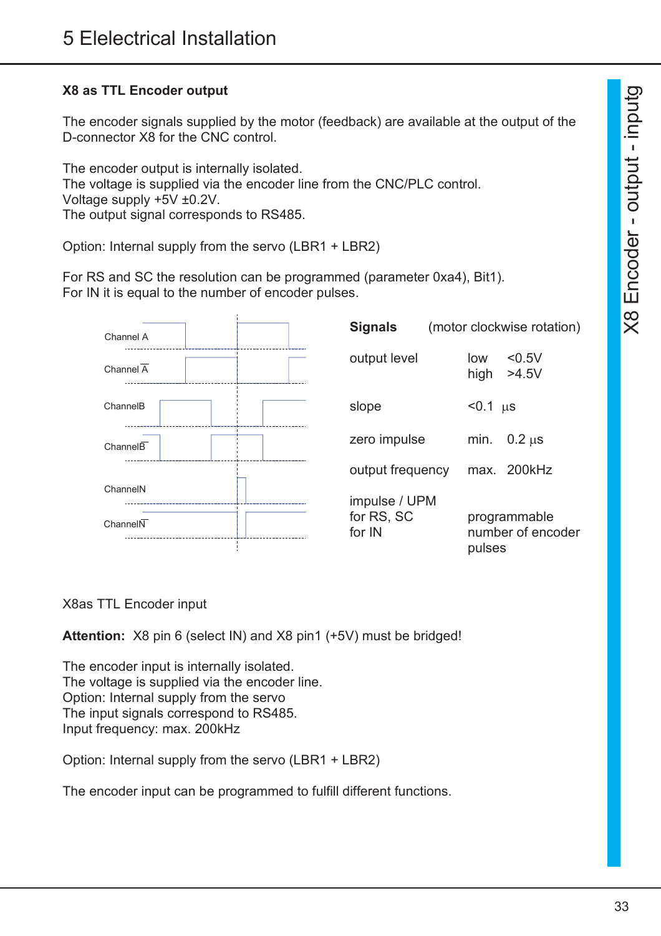### **X8 as TTL Encoder output**

The encoder signals supplied by the motor (feedback) are available at the output of the D-connector X8 for the CNC control.

The encoder output is internally isolated. The voltage is supplied via the encoder line from the CNC/PLC control. Voltage supply +5V ±0.2V. The output signal corresponds to RS485.

Option: Internal supply from the servo (LBR1 + LBR2)

For RS and SC the resolution can be programmed (parameter 0xa4), Bit1). For IN it is equal to the number of encoder pulses.

| Channel A            | <b>Signals</b>                        | (motor clockwise rotation)        |
|----------------------|---------------------------------------|-----------------------------------|
| Channel A            | output level                          | $0.5V$<br>low<br>high<br>>4.5V    |
| ChannelB             | slope                                 | $< 0.1 \mu s$                     |
| ChannelB             | zero impulse                          | $0.2 \mu s$<br>min.               |
|                      | output frequency                      | max. 200kHz                       |
| ChannelN<br>ChannelN | impulse / UPM<br>for RS, SC<br>for IN | programmable<br>number of encoder |
|                      |                                       | pulses                            |

X8as TTL Encoder input

**Attention:** X8 pin 6 (select IN) and X8 pin1 (+5V) must be bridged!

The encoder input is internally isolated. The voltage is supplied via the encoder line. Option: Internal supply from the servo The input signals correspond to RS485. Input frequency: max. 200kHz

Option: Internal supply from the servo (LBR1 + LBR2)

The encoder input can be programmed to fulfill different functions.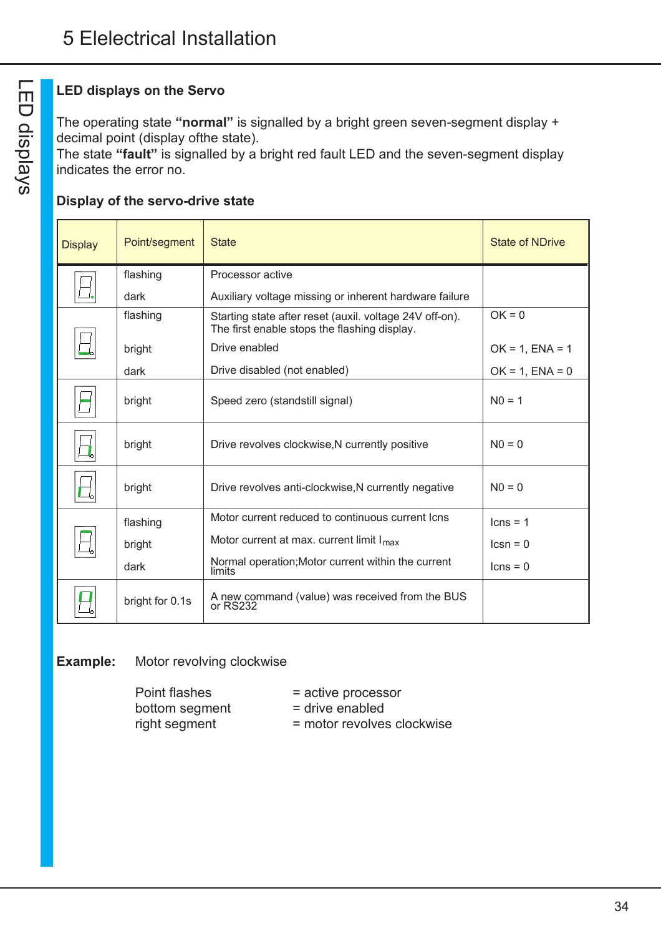## **LED displays on the Servo**

The operating state **"normal"** is signalled by a bright green seven-segment display + decimal point (display ofthe state).

The state **"fault"** is signalled by a bright red fault LED and the seven-segment display indicates the error no.

#### **Display of the servo-drive state**

| <b>Display</b> | Point/segment   | <b>State</b>                                                                                            | <b>State of NDrive</b> |
|----------------|-----------------|---------------------------------------------------------------------------------------------------------|------------------------|
|                | flashing        | Processor active                                                                                        |                        |
|                | dark            | Auxiliary voltage missing or inherent hardware failure                                                  |                        |
|                | flashing        | Starting state after reset (auxil. voltage 24V off-on).<br>The first enable stops the flashing display. | $OK = 0$               |
|                | bright          | Drive enabled                                                                                           | $OK = 1$ , $ENA = 1$   |
|                | dark            | Drive disabled (not enabled)                                                                            | $OK = 1$ , $ENA = 0$   |
|                | bright          | Speed zero (standstill signal)                                                                          | $NO = 1$               |
|                | bright          | Drive revolves clockwise, N currently positive                                                          | $NO = 0$               |
|                | bright          | Drive revolves anti-clockwise, N currently negative                                                     | $NO = 0$               |
|                | flashing        | Motor current reduced to continuous current lcns                                                        | $lens = 1$             |
|                | bright          | Motor current at max. current limit $I_{\text{max}}$                                                    | $lcsn = 0$             |
|                | dark            | Normal operation; Motor current within the current<br>limits                                            | $lcns = 0$             |
|                | bright for 0.1s | A new command (value) was received from the BUS<br>or RS232                                             |                        |

#### **Example:** Motor revolving clockwise

 $bottom$  segment  $=$  drive enabled

Point flashes = active processor

right segment = motor revolves clockwise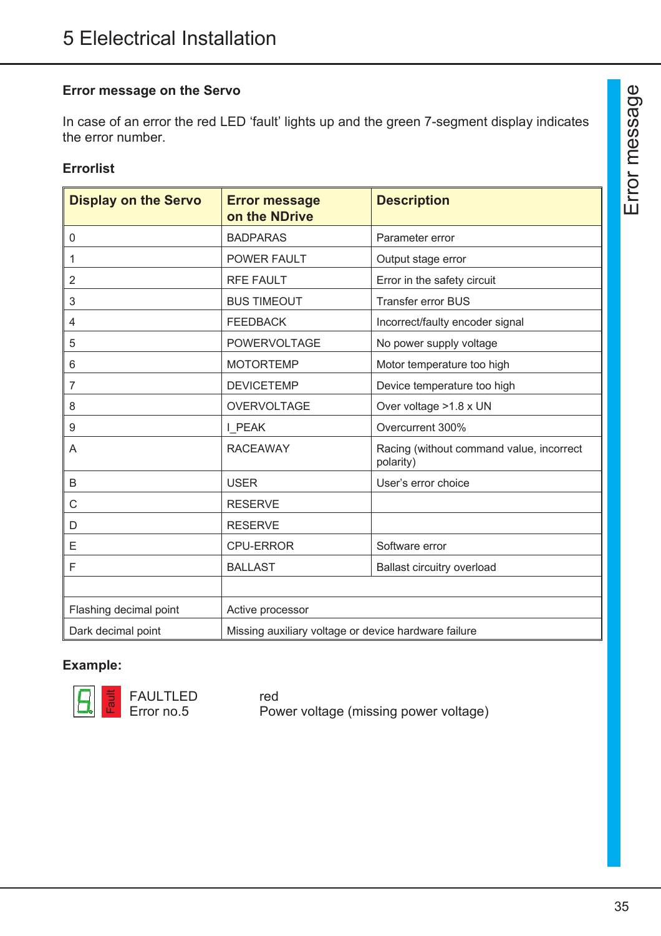#### **Error message on the Servo**

In case of an error the red LED 'fault' lights up and the green 7-segment display indicates the error number.

#### **Errorlist**

| <b>Display on the Servo</b> | <b>Error message</b><br>on the NDrive                | <b>Description</b>                                    |
|-----------------------------|------------------------------------------------------|-------------------------------------------------------|
| 0                           | <b>BADPARAS</b>                                      | Parameter error                                       |
| 1                           | POWER FAULT                                          | Output stage error                                    |
| 2                           | <b>RFE FAULT</b>                                     | Error in the safety circuit                           |
| 3                           | <b>BUS TIMEOUT</b>                                   | <b>Transfer error BUS</b>                             |
| 4                           | <b>FEEDBACK</b>                                      | Incorrect/faulty encoder signal                       |
| 5                           | <b>POWERVOLTAGE</b>                                  | No power supply voltage                               |
| 6                           | <b>MOTORTEMP</b>                                     | Motor temperature too high                            |
| $\overline{7}$              | <b>DEVICETEMP</b>                                    | Device temperature too high                           |
| 8                           | OVERVOLTAGE                                          | Over voltage >1.8 x UN                                |
| 9                           | I PEAK                                               | Overcurrent 300%                                      |
| A                           | <b>RACEAWAY</b>                                      | Racing (without command value, incorrect<br>polarity) |
| B                           | <b>USER</b>                                          | User's error choice                                   |
| C                           | <b>RESERVE</b>                                       |                                                       |
| D                           | <b>RESERVE</b>                                       |                                                       |
| Е                           | <b>CPU-ERROR</b>                                     | Software error                                        |
| F                           | <b>BALLAST</b>                                       | Ballast circuitry overload                            |
|                             |                                                      |                                                       |
| Flashing decimal point      | Active processor                                     |                                                       |
| Dark decimal point          | Missing auxiliary voltage or device hardware failure |                                                       |

### **Example:**



Error no.5 Power voltage (missing power voltage)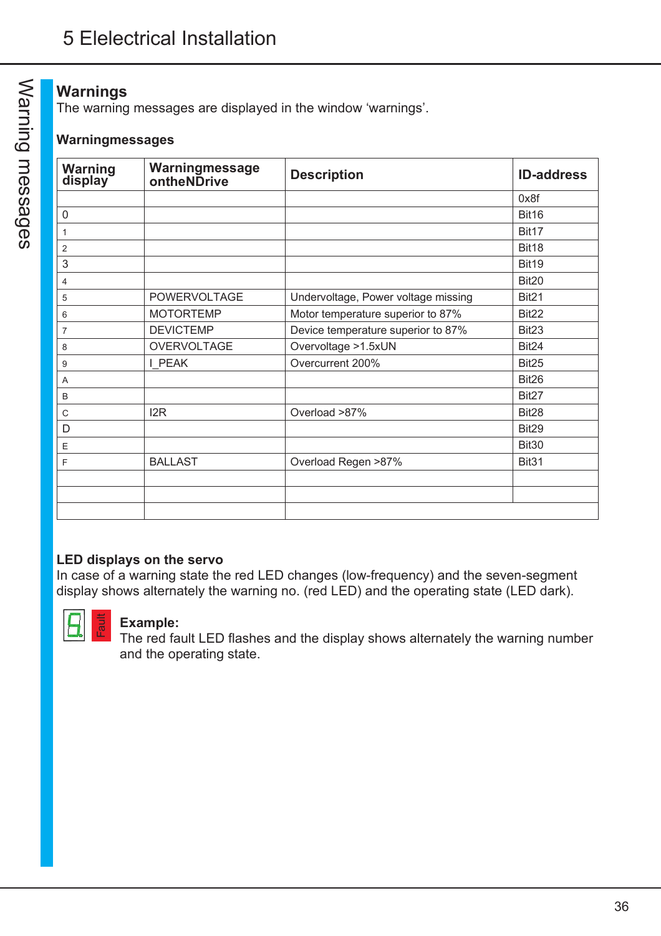## **Warnings**

The warning messages are displayed in the window 'warnings'.

#### **Warningmessages**

| <b>Warning</b><br>display | Warningmessage<br>ontheNDrive | <b>Description</b>                  | <b>ID-address</b> |
|---------------------------|-------------------------------|-------------------------------------|-------------------|
|                           |                               |                                     | 0x8f              |
| $\mathbf 0$               |                               |                                     | Bit16             |
| 1                         |                               |                                     | Bit17             |
| 2                         |                               |                                     | Bit18             |
| 3                         |                               |                                     | Bit <sub>19</sub> |
| 4                         |                               |                                     | Bit20             |
| 5                         | <b>POWERVOLTAGE</b>           | Undervoltage, Power voltage missing | Bit21             |
| 6                         | <b>MOTORTEMP</b>              | Motor temperature superior to 87%   | Bit22             |
| $\overline{7}$            | <b>DEVICTEMP</b>              | Device temperature superior to 87%  | Bit23             |
| 8                         | OVERVOLTAGE                   | Overvoltage >1.5xUN                 | Bit <sub>24</sub> |
| 9                         | I PEAK                        | Overcurrent 200%                    | Bit25             |
| Α                         |                               |                                     | Bit26             |
| B                         |                               |                                     | Bit27             |
| C                         | I <sub>2</sub> R              | Overload >87%                       | Bit28             |
| D                         |                               |                                     | Bit29             |
| Ε                         |                               |                                     | Bit <sub>30</sub> |
| F                         | <b>BALLAST</b>                | Overload Regen >87%                 | Bit31             |
|                           |                               |                                     |                   |
|                           |                               |                                     |                   |
|                           |                               |                                     |                   |

#### **LED displays on the servo**

In case of a warning state the red LED changes (low-frequency) and the seven-segment display shows alternately the warning no. (red LED) and the operating state (LED dark).



#### **Example:**

The red fault LED flashes and the display shows alternately the warning number and the operating state.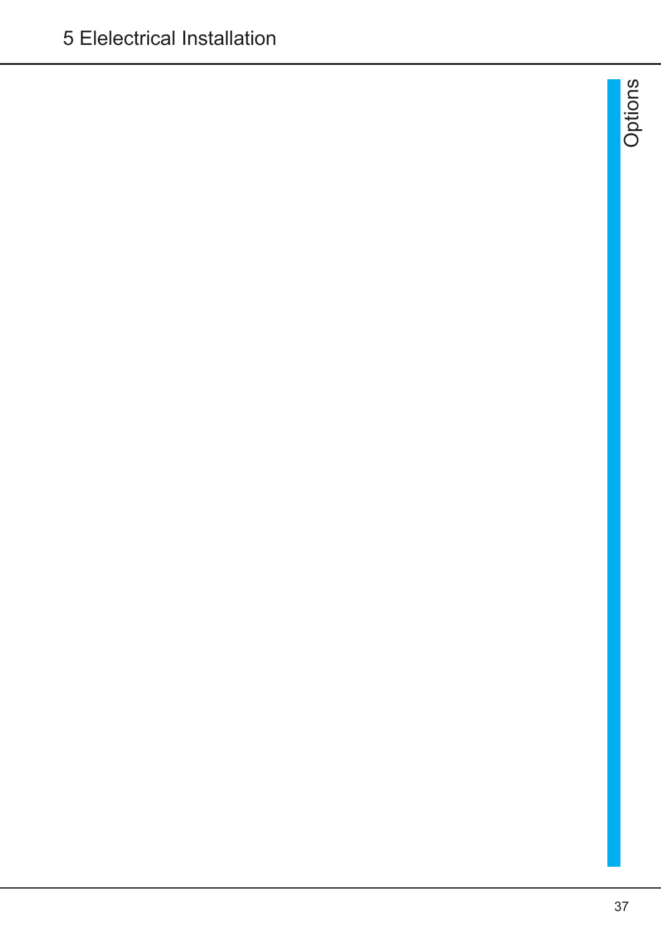O $\bf \Omega$ tio  $\mathbf \subset$ ທ